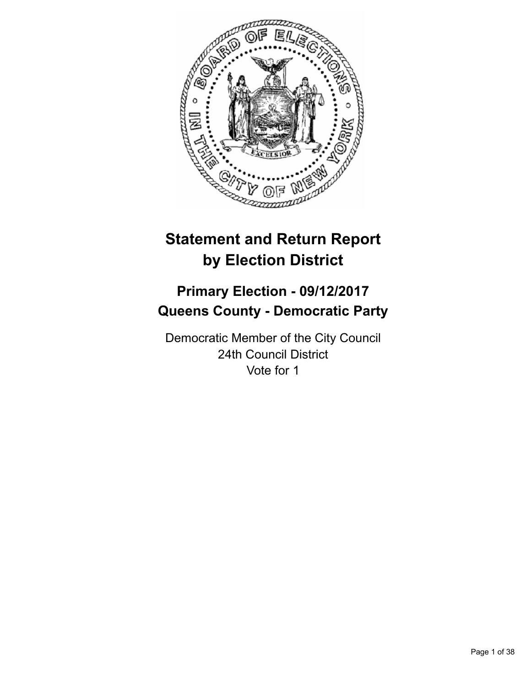

# **Statement and Return Report by Election District**

# **Primary Election - 09/12/2017 Queens County - Democratic Party**

Democratic Member of the City Council 24th Council District Vote for 1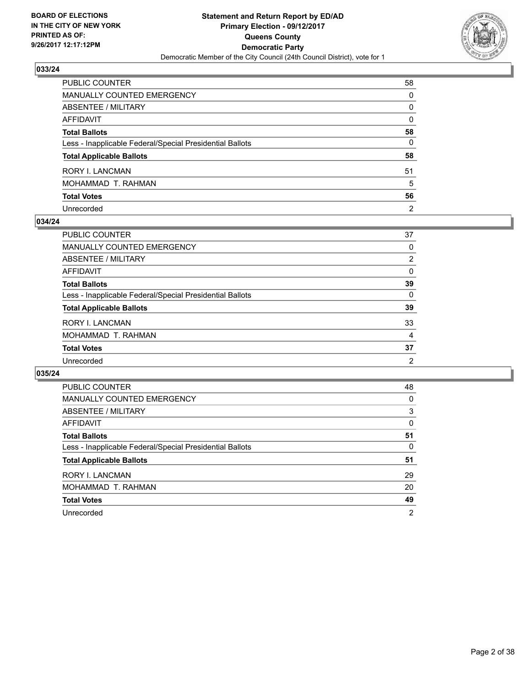

| PUBLIC COUNTER                                           | 58             |
|----------------------------------------------------------|----------------|
| MANUALLY COUNTED EMERGENCY                               | 0              |
| ABSENTEE / MILITARY                                      | 0              |
| AFFIDAVIT                                                | $\mathbf{0}$   |
| Total Ballots                                            | 58             |
| Less - Inapplicable Federal/Special Presidential Ballots | $\mathbf{0}$   |
| <b>Total Applicable Ballots</b>                          | 58             |
| RORY I. LANCMAN                                          | 51             |
| MOHAMMAD T. RAHMAN                                       | 5              |
| <b>Total Votes</b>                                       | 56             |
| Unrecorded                                               | $\overline{2}$ |

## **034/24**

| <b>PUBLIC COUNTER</b>                                    | 37             |
|----------------------------------------------------------|----------------|
| <b>MANUALLY COUNTED EMERGENCY</b>                        | 0              |
| <b>ABSENTEE / MILITARY</b>                               | $\overline{2}$ |
| AFFIDAVIT                                                | $\Omega$       |
| <b>Total Ballots</b>                                     | 39             |
| Less - Inapplicable Federal/Special Presidential Ballots | $\Omega$       |
| <b>Total Applicable Ballots</b>                          | 39             |
| <b>RORY I. LANCMAN</b>                                   | 33             |
| MOHAMMAD T. RAHMAN                                       | 4              |
| <b>Total Votes</b>                                       | 37             |
| Unrecorded                                               | 2              |

| <b>PUBLIC COUNTER</b>                                    | 48             |
|----------------------------------------------------------|----------------|
| <b>MANUALLY COUNTED EMERGENCY</b>                        | 0              |
| ABSENTEE / MILITARY                                      | 3              |
| AFFIDAVIT                                                | 0              |
| <b>Total Ballots</b>                                     | 51             |
| Less - Inapplicable Federal/Special Presidential Ballots | 0              |
| <b>Total Applicable Ballots</b>                          | 51             |
| <b>RORY I. LANCMAN</b>                                   | 29             |
| MOHAMMAD T. RAHMAN                                       | 20             |
| <b>Total Votes</b>                                       | 49             |
| Unrecorded                                               | $\overline{2}$ |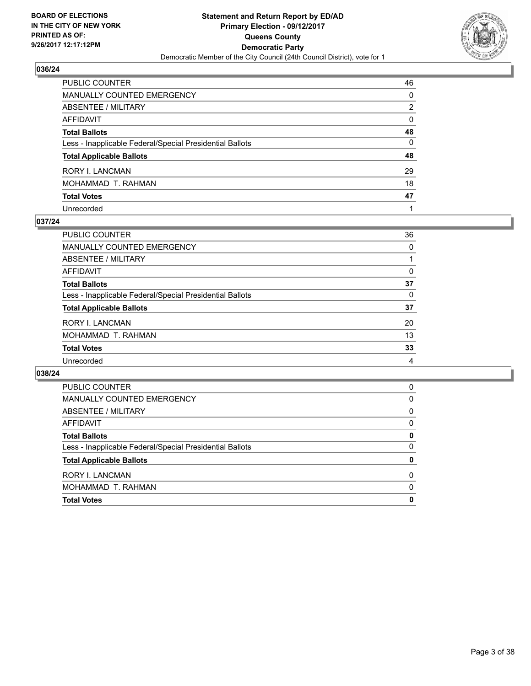

| PUBLIC COUNTER                                           | 46           |
|----------------------------------------------------------|--------------|
| MANUALLY COUNTED EMERGENCY                               | 0            |
| ABSENTEE / MILITARY                                      | 2            |
| AFFIDAVIT                                                | $\mathbf{0}$ |
| Total Ballots                                            | 48           |
| Less - Inapplicable Federal/Special Presidential Ballots | $\mathbf{0}$ |
| <b>Total Applicable Ballots</b>                          | 48           |
| RORY I. LANCMAN                                          | 29           |
| MOHAMMAD T. RAHMAN                                       | 18           |
| <b>Total Votes</b>                                       | 47           |
| Unrecorded                                               |              |

## **037/24**

| PUBLIC COUNTER                                           | 36 |
|----------------------------------------------------------|----|
| <b>MANUALLY COUNTED EMERGENCY</b>                        | 0  |
| ABSENTEE / MILITARY                                      |    |
| AFFIDAVIT                                                | 0  |
| <b>Total Ballots</b>                                     | 37 |
| Less - Inapplicable Federal/Special Presidential Ballots | 0  |
| <b>Total Applicable Ballots</b>                          | 37 |
| <b>RORY I. LANCMAN</b>                                   | 20 |
| MOHAMMAD T. RAHMAN                                       | 13 |
| <b>Total Votes</b>                                       | 33 |
| Unrecorded                                               | 4  |

| <b>Total Votes</b>                                       | 0        |
|----------------------------------------------------------|----------|
| MOHAMMAD T. RAHMAN                                       | $\Omega$ |
| <b>RORY I. LANCMAN</b>                                   | 0        |
| <b>Total Applicable Ballots</b>                          | 0        |
| Less - Inapplicable Federal/Special Presidential Ballots | 0        |
| <b>Total Ballots</b>                                     | 0        |
| AFFIDAVIT                                                | 0        |
| ABSENTEE / MILITARY                                      | 0        |
| MANUALLY COUNTED EMERGENCY                               | 0        |
| PUBLIC COUNTER                                           | 0        |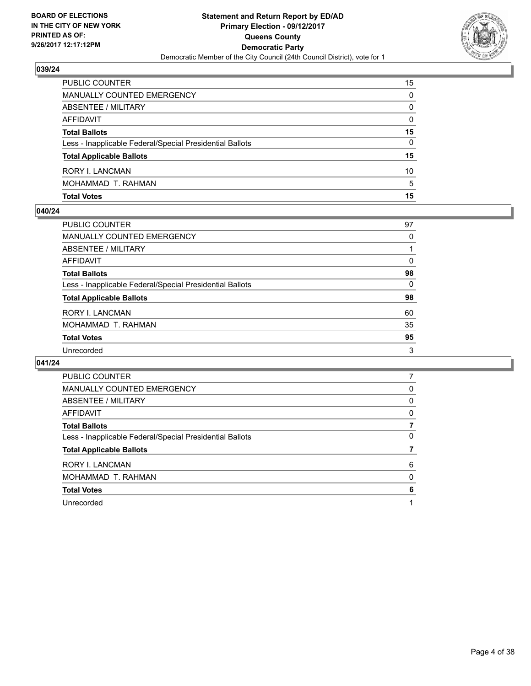

| PUBLIC COUNTER                                           | 15 |
|----------------------------------------------------------|----|
| <b>MANUALLY COUNTED EMERGENCY</b>                        | 0  |
| ABSENTEE / MILITARY                                      | 0  |
| AFFIDAVIT                                                | 0  |
| <b>Total Ballots</b>                                     | 15 |
| Less - Inapplicable Federal/Special Presidential Ballots | 0  |
| <b>Total Applicable Ballots</b>                          | 15 |
| RORY I. LANCMAN                                          | 10 |
| MOHAMMAD T. RAHMAN                                       | 5  |
| <b>Total Votes</b>                                       | 15 |

## **040/24**

| <b>PUBLIC COUNTER</b>                                    | 97       |
|----------------------------------------------------------|----------|
| <b>MANUALLY COUNTED EMERGENCY</b>                        | 0        |
| ABSENTEE / MILITARY                                      |          |
| <b>AFFIDAVIT</b>                                         | 0        |
| <b>Total Ballots</b>                                     | 98       |
| Less - Inapplicable Federal/Special Presidential Ballots | $\Omega$ |
| <b>Total Applicable Ballots</b>                          | 98       |
| <b>RORY I. LANCMAN</b>                                   | 60       |
| MOHAMMAD T. RAHMAN                                       | 35       |
| <b>Total Votes</b>                                       | 95       |
| Unrecorded                                               | 3        |
|                                                          |          |

| <b>PUBLIC COUNTER</b>                                    |   |
|----------------------------------------------------------|---|
| MANUALLY COUNTED EMERGENCY                               | 0 |
| ABSENTEE / MILITARY                                      | 0 |
| AFFIDAVIT                                                | 0 |
| <b>Total Ballots</b>                                     |   |
| Less - Inapplicable Federal/Special Presidential Ballots | 0 |
| <b>Total Applicable Ballots</b>                          |   |
| <b>RORY I. LANCMAN</b>                                   | 6 |
| MOHAMMAD T. RAHMAN                                       | 0 |
| <b>Total Votes</b>                                       | 6 |
| Unrecorded                                               |   |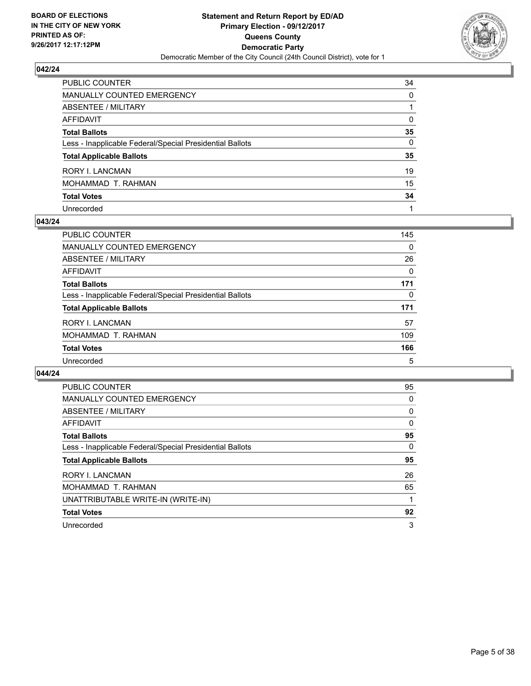

| PUBLIC COUNTER                                           | 34           |
|----------------------------------------------------------|--------------|
| MANUALLY COUNTED EMERGENCY                               | 0            |
| ABSENTEE / MILITARY                                      |              |
| AFFIDAVIT                                                | $\mathbf{0}$ |
| Total Ballots                                            | 35           |
| Less - Inapplicable Federal/Special Presidential Ballots | 0            |
| <b>Total Applicable Ballots</b>                          | 35           |
| RORY I. LANCMAN                                          | 19           |
| MOHAMMAD T. RAHMAN                                       | 15           |
| <b>Total Votes</b>                                       | 34           |
| Unrecorded                                               |              |

## **043/24**

| <b>PUBLIC COUNTER</b>                                    | 145 |
|----------------------------------------------------------|-----|
| <b>MANUALLY COUNTED EMERGENCY</b>                        | 0   |
| ABSENTEE / MILITARY                                      | 26  |
| AFFIDAVIT                                                | 0   |
| <b>Total Ballots</b>                                     | 171 |
| Less - Inapplicable Federal/Special Presidential Ballots | 0   |
| <b>Total Applicable Ballots</b>                          | 171 |
| <b>RORY I. LANCMAN</b>                                   | 57  |
| MOHAMMAD T. RAHMAN                                       | 109 |
| <b>Total Votes</b>                                       | 166 |
| Unrecorded                                               | 5   |

| <b>PUBLIC COUNTER</b>                                    | 95 |
|----------------------------------------------------------|----|
| <b>MANUALLY COUNTED EMERGENCY</b>                        | 0  |
| ABSENTEE / MILITARY                                      | 0  |
| AFFIDAVIT                                                | 0  |
| <b>Total Ballots</b>                                     | 95 |
| Less - Inapplicable Federal/Special Presidential Ballots | 0  |
|                                                          |    |
| <b>Total Applicable Ballots</b>                          | 95 |
| RORY I. LANCMAN                                          | 26 |
| MOHAMMAD T. RAHMAN                                       | 65 |
| UNATTRIBUTABLE WRITE-IN (WRITE-IN)                       |    |
| <b>Total Votes</b>                                       | 92 |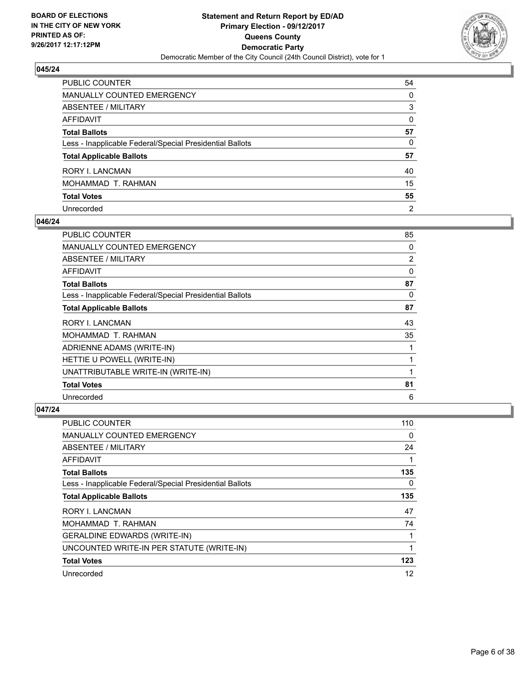

| PUBLIC COUNTER                                           | 54             |
|----------------------------------------------------------|----------------|
| MANUALLY COUNTED EMERGENCY                               | $\Omega$       |
| <b>ABSENTEE / MILITARY</b>                               | 3              |
| <b>AFFIDAVIT</b>                                         | $\Omega$       |
| <b>Total Ballots</b>                                     | 57             |
| Less - Inapplicable Federal/Special Presidential Ballots | 0              |
| <b>Total Applicable Ballots</b>                          | 57             |
| RORY I. LANCMAN                                          | 40             |
| MOHAMMAD T. RAHMAN                                       | 15             |
| <b>Total Votes</b>                                       | 55             |
| Unrecorded                                               | $\overline{2}$ |

## **046/24**

| PUBLIC COUNTER                                           | 85             |
|----------------------------------------------------------|----------------|
| MANUALLY COUNTED EMERGENCY                               | 0              |
| ABSENTEE / MILITARY                                      | $\overline{2}$ |
| AFFIDAVIT                                                | $\Omega$       |
| <b>Total Ballots</b>                                     | 87             |
| Less - Inapplicable Federal/Special Presidential Ballots | 0              |
| <b>Total Applicable Ballots</b>                          | 87             |
| <b>RORY I. LANCMAN</b>                                   | 43             |
| MOHAMMAD T. RAHMAN                                       | 35             |
| ADRIENNE ADAMS (WRITE-IN)                                |                |
| HETTIE U POWELL (WRITE-IN)                               |                |
| UNATTRIBUTABLE WRITE-IN (WRITE-IN)                       |                |
| <b>Total Votes</b>                                       | 81             |
| Unrecorded                                               | 6              |

| <b>PUBLIC COUNTER</b>                                    | 110 |
|----------------------------------------------------------|-----|
| <b>MANUALLY COUNTED EMERGENCY</b>                        | 0   |
| ABSENTEE / MILITARY                                      | 24  |
| AFFIDAVIT                                                | 1   |
| <b>Total Ballots</b>                                     | 135 |
| Less - Inapplicable Federal/Special Presidential Ballots | 0   |
| <b>Total Applicable Ballots</b>                          | 135 |
| RORY I. LANCMAN                                          | 47  |
| MOHAMMAD T. RAHMAN                                       | 74  |
| <b>GERALDINE EDWARDS (WRITE-IN)</b>                      | 1   |
| UNCOUNTED WRITE-IN PER STATUTE (WRITE-IN)                | 1   |
| <b>Total Votes</b>                                       | 123 |
| Unrecorded                                               | 12  |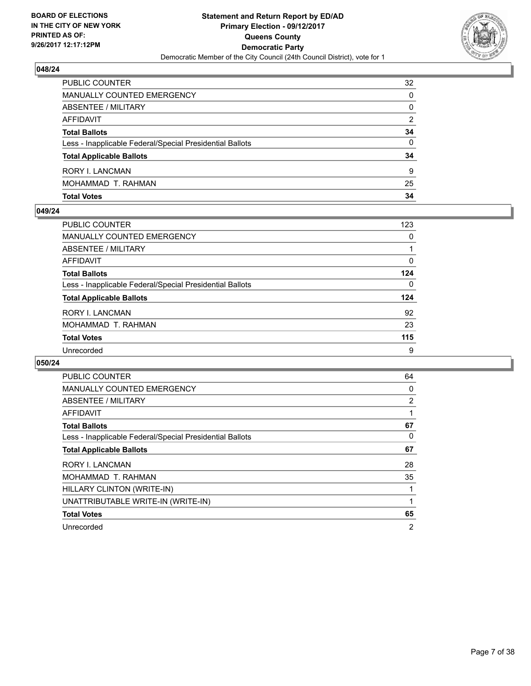

| PUBLIC COUNTER                                           | 32       |
|----------------------------------------------------------|----------|
| MANUALLY COUNTED EMERGENCY                               | 0        |
| ABSENTEE / MILITARY                                      | 0        |
| AFFIDAVIT                                                | 2        |
| <b>Total Ballots</b>                                     | 34       |
| Less - Inapplicable Federal/Special Presidential Ballots | $\Omega$ |
| <b>Total Applicable Ballots</b>                          | 34       |
| RORY I. LANCMAN                                          | 9        |
| MOHAMMAD T. RAHMAN                                       | 25       |
| <b>Total Votes</b>                                       | 34       |

#### **049/24**

| <b>PUBLIC COUNTER</b>                                    | 123 |
|----------------------------------------------------------|-----|
| <b>MANUALLY COUNTED EMERGENCY</b>                        | 0   |
| ABSENTEE / MILITARY                                      |     |
| AFFIDAVIT                                                | 0   |
| <b>Total Ballots</b>                                     | 124 |
| Less - Inapplicable Federal/Special Presidential Ballots | 0   |
| <b>Total Applicable Ballots</b>                          | 124 |
| <b>RORY I. LANCMAN</b>                                   | 92  |
| MOHAMMAD T. RAHMAN                                       | 23  |
| <b>Total Votes</b>                                       | 115 |
| Unrecorded                                               | 9   |
|                                                          |     |

| <b>PUBLIC COUNTER</b>                                    | 64             |
|----------------------------------------------------------|----------------|
| <b>MANUALLY COUNTED EMERGENCY</b>                        | 0              |
| ABSENTEE / MILITARY                                      | $\overline{2}$ |
| <b>AFFIDAVIT</b>                                         |                |
| <b>Total Ballots</b>                                     | 67             |
| Less - Inapplicable Federal/Special Presidential Ballots | 0              |
| <b>Total Applicable Ballots</b>                          | 67             |
| <b>RORY I. LANCMAN</b>                                   | 28             |
| MOHAMMAD T. RAHMAN                                       | 35             |
| HILLARY CLINTON (WRITE-IN)                               |                |
| UNATTRIBUTABLE WRITE-IN (WRITE-IN)                       |                |
| <b>Total Votes</b>                                       | 65             |
| Unrecorded                                               | 2              |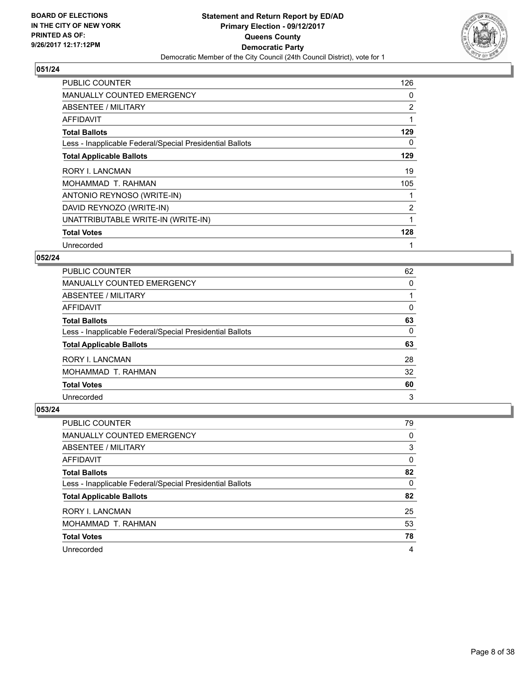

| <b>PUBLIC COUNTER</b>                                    | 126            |
|----------------------------------------------------------|----------------|
| <b>MANUALLY COUNTED EMERGENCY</b>                        | 0              |
| ABSENTEE / MILITARY                                      | 2              |
| AFFIDAVIT                                                |                |
| <b>Total Ballots</b>                                     | 129            |
| Less - Inapplicable Federal/Special Presidential Ballots | 0              |
| <b>Total Applicable Ballots</b>                          | 129            |
| <b>RORY I. LANCMAN</b>                                   | 19             |
| MOHAMMAD T. RAHMAN                                       | 105            |
| ANTONIO REYNOSO (WRITE-IN)                               |                |
| DAVID REYNOZO (WRITE-IN)                                 | $\overline{2}$ |
| UNATTRIBUTABLE WRITE-IN (WRITE-IN)                       |                |
| <b>Total Votes</b>                                       | 128            |
| Unrecorded                                               | 1              |

## **052/24**

| <b>PUBLIC COUNTER</b>                                    | 62 |
|----------------------------------------------------------|----|
| <b>MANUALLY COUNTED EMERGENCY</b>                        | 0  |
| ABSENTEE / MILITARY                                      |    |
| <b>AFFIDAVIT</b>                                         | 0  |
| <b>Total Ballots</b>                                     | 63 |
| Less - Inapplicable Federal/Special Presidential Ballots | 0  |
| <b>Total Applicable Ballots</b>                          | 63 |
| RORY I. LANCMAN                                          | 28 |
| MOHAMMAD T. RAHMAN                                       | 32 |
| <b>Total Votes</b>                                       | 60 |
| Unrecorded                                               | 3  |

| <b>PUBLIC COUNTER</b>                                    | 79       |
|----------------------------------------------------------|----------|
| MANUALLY COUNTED EMERGENCY                               | 0        |
| ABSENTEE / MILITARY                                      | 3        |
| AFFIDAVIT                                                | 0        |
| <b>Total Ballots</b>                                     | 82       |
| Less - Inapplicable Federal/Special Presidential Ballots | $\Omega$ |
| <b>Total Applicable Ballots</b>                          | 82       |
| <b>RORY I. LANCMAN</b>                                   | 25       |
| MOHAMMAD T. RAHMAN                                       | 53       |
| <b>Total Votes</b>                                       | 78       |
| Unrecorded                                               | 4        |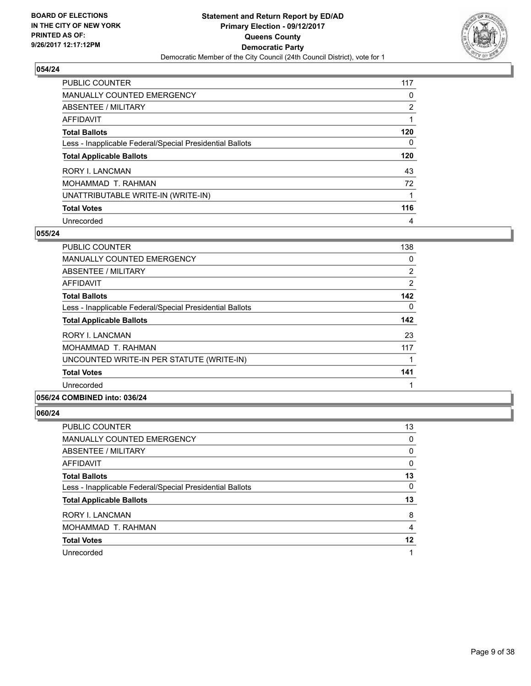

| PUBLIC COUNTER                                           | 117 |
|----------------------------------------------------------|-----|
| <b>MANUALLY COUNTED EMERGENCY</b>                        | 0   |
| ABSENTEE / MILITARY                                      | 2   |
| AFFIDAVIT                                                |     |
| <b>Total Ballots</b>                                     | 120 |
| Less - Inapplicable Federal/Special Presidential Ballots | 0   |
| <b>Total Applicable Ballots</b>                          | 120 |
| <b>RORY I. LANCMAN</b>                                   | 43  |
| MOHAMMAD T. RAHMAN                                       | 72  |
| UNATTRIBUTABLE WRITE-IN (WRITE-IN)                       | 1   |
| <b>Total Votes</b>                                       | 116 |
| Unrecorded                                               | 4   |

## **055/24**

| <b>PUBLIC COUNTER</b>                                    | 138            |
|----------------------------------------------------------|----------------|
| <b>MANUALLY COUNTED EMERGENCY</b>                        | 0              |
| ABSENTEE / MILITARY                                      | $\overline{2}$ |
| AFFIDAVIT                                                | 2              |
| <b>Total Ballots</b>                                     | 142            |
| Less - Inapplicable Federal/Special Presidential Ballots | 0              |
| <b>Total Applicable Ballots</b>                          | 142            |
| <b>RORY I. LANCMAN</b>                                   | 23             |
| MOHAMMAD T. RAHMAN                                       | 117            |
| UNCOUNTED WRITE-IN PER STATUTE (WRITE-IN)                |                |
| <b>Total Votes</b>                                       | 141            |
| Unrecorded                                               |                |
| . <b>.</b>                                               |                |

## **056/24 COMBINED into: 036/24**

| <b>PUBLIC COUNTER</b>                                    | 13 |
|----------------------------------------------------------|----|
| MANUALLY COUNTED EMERGENCY                               | 0  |
| ABSENTEE / MILITARY                                      | 0  |
| AFFIDAVIT                                                | 0  |
| <b>Total Ballots</b>                                     | 13 |
| Less - Inapplicable Federal/Special Presidential Ballots | 0  |
| <b>Total Applicable Ballots</b>                          | 13 |
| <b>RORY I. LANCMAN</b>                                   | 8  |
| MOHAMMAD T. RAHMAN                                       | 4  |
| <b>Total Votes</b>                                       | 12 |
| Unrecorded                                               | 1  |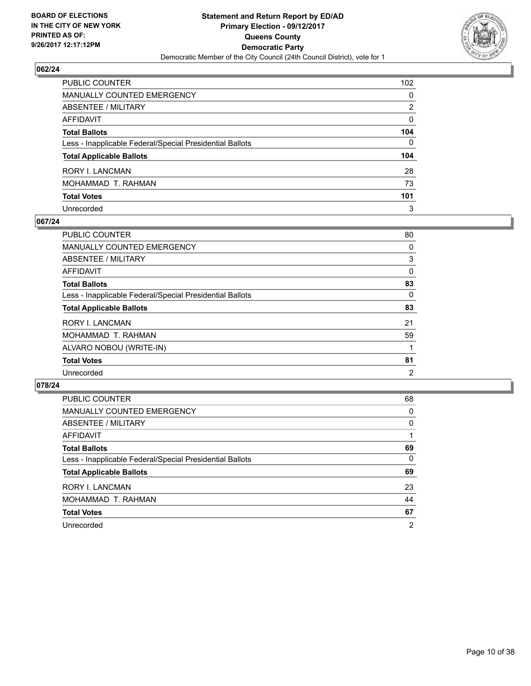

| PUBLIC COUNTER                                           | 102          |
|----------------------------------------------------------|--------------|
| MANUALLY COUNTED EMERGENCY                               | 0            |
| ABSENTEE / MILITARY                                      | 2            |
| AFFIDAVIT                                                | $\mathbf{0}$ |
| Total Ballots                                            | 104          |
| Less - Inapplicable Federal/Special Presidential Ballots | $\Omega$     |
| <b>Total Applicable Ballots</b>                          | 104          |
| RORY I. LANCMAN                                          | 28           |
| MOHAMMAD T. RAHMAN                                       | 73           |
| <b>Total Votes</b>                                       | 101          |
| Unrecorded                                               | 3            |

## **067/24**

| <b>PUBLIC COUNTER</b>                                    | 80             |
|----------------------------------------------------------|----------------|
| <b>MANUALLY COUNTED EMERGENCY</b>                        | 0              |
| ABSENTEE / MILITARY                                      | 3              |
| AFFIDAVIT                                                | 0              |
| <b>Total Ballots</b>                                     | 83             |
| Less - Inapplicable Federal/Special Presidential Ballots | 0              |
| <b>Total Applicable Ballots</b>                          | 83             |
| <b>RORY I. LANCMAN</b>                                   | 21             |
| MOHAMMAD T. RAHMAN                                       | 59             |
| ALVARO NOBOU (WRITE-IN)                                  |                |
| <b>Total Votes</b>                                       | 81             |
| Unrecorded                                               | $\overline{2}$ |

| <b>PUBLIC COUNTER</b>                                    | 68             |
|----------------------------------------------------------|----------------|
| <b>MANUALLY COUNTED EMERGENCY</b>                        | 0              |
| ABSENTEE / MILITARY                                      | 0              |
| AFFIDAVIT                                                |                |
| <b>Total Ballots</b>                                     | 69             |
| Less - Inapplicable Federal/Special Presidential Ballots | 0              |
| <b>Total Applicable Ballots</b>                          | 69             |
| <b>RORY I. LANCMAN</b>                                   | 23             |
| MOHAMMAD T. RAHMAN                                       | 44             |
| <b>Total Votes</b>                                       | 67             |
| Unrecorded                                               | $\overline{2}$ |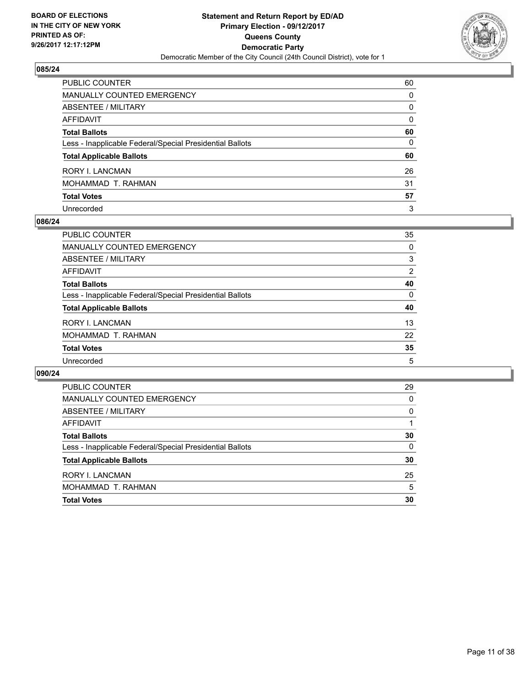

| PUBLIC COUNTER                                           | 60           |
|----------------------------------------------------------|--------------|
| MANUALLY COUNTED EMERGENCY                               | 0            |
| ABSENTEE / MILITARY                                      | 0            |
| AFFIDAVIT                                                | $\mathbf{0}$ |
| Total Ballots                                            | 60           |
| Less - Inapplicable Federal/Special Presidential Ballots | 0            |
| <b>Total Applicable Ballots</b>                          | 60           |
| RORY I. LANCMAN                                          | 26           |
| MOHAMMAD T. RAHMAN                                       | 31           |
| <b>Total Votes</b>                                       | 57           |
| Unrecorded                                               | 3            |

#### **086/24**

| <b>PUBLIC COUNTER</b>                                    | 35 |
|----------------------------------------------------------|----|
| <b>MANUALLY COUNTED EMERGENCY</b>                        | 0  |
| ABSENTEE / MILITARY                                      | 3  |
| AFFIDAVIT                                                | 2  |
| <b>Total Ballots</b>                                     | 40 |
| Less - Inapplicable Federal/Special Presidential Ballots | 0  |
| <b>Total Applicable Ballots</b>                          | 40 |
| <b>RORY I. LANCMAN</b>                                   | 13 |
| MOHAMMAD T. RAHMAN                                       | 22 |
| <b>Total Votes</b>                                       | 35 |
| Unrecorded                                               | 5  |

| <b>PUBLIC COUNTER</b>                                    | 29 |
|----------------------------------------------------------|----|
| <b>MANUALLY COUNTED EMERGENCY</b>                        | 0  |
| ABSENTEE / MILITARY                                      | 0  |
| AFFIDAVIT                                                |    |
| <b>Total Ballots</b>                                     | 30 |
| Less - Inapplicable Federal/Special Presidential Ballots | 0  |
| <b>Total Applicable Ballots</b>                          | 30 |
| RORY I. LANCMAN                                          | 25 |
| MOHAMMAD T. RAHMAN                                       | 5  |
| <b>Total Votes</b>                                       | 30 |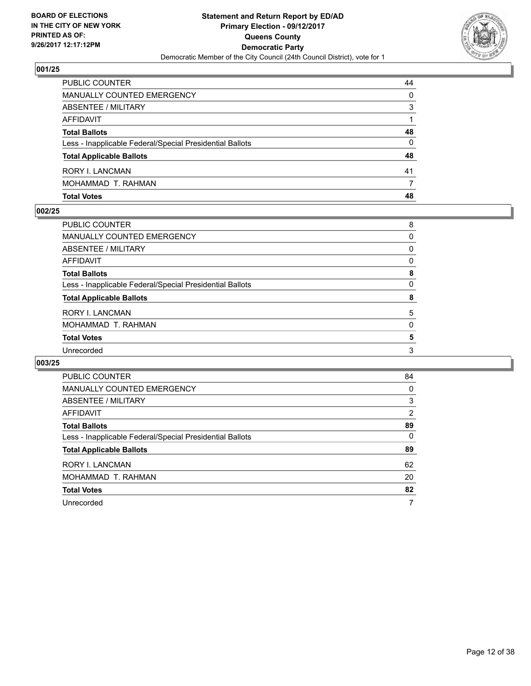

| <b>PUBLIC COUNTER</b>                                    | 44 |
|----------------------------------------------------------|----|
| MANUALLY COUNTED EMERGENCY                               | 0  |
| ABSENTEE / MILITARY                                      | 3  |
| AFFIDAVIT                                                |    |
| <b>Total Ballots</b>                                     | 48 |
| Less - Inapplicable Federal/Special Presidential Ballots | 0  |
| <b>Total Applicable Ballots</b>                          | 48 |
| RORY I. LANCMAN                                          | 41 |
| MOHAMMAD T. RAHMAN                                       |    |
| <b>Total Votes</b>                                       | 48 |

#### **002/25**

| PUBLIC COUNTER                                           | 8 |
|----------------------------------------------------------|---|
| <b>MANUALLY COUNTED EMERGENCY</b>                        | 0 |
| ABSENTEE / MILITARY                                      | 0 |
| <b>AFFIDAVIT</b>                                         | 0 |
| <b>Total Ballots</b>                                     | 8 |
| Less - Inapplicable Federal/Special Presidential Ballots | 0 |
| <b>Total Applicable Ballots</b>                          | 8 |
| <b>RORY I. LANCMAN</b>                                   | 5 |
| MOHAMMAD T. RAHMAN                                       | 0 |
| <b>Total Votes</b>                                       | 5 |
| Unrecorded                                               | 3 |
|                                                          |   |

| <b>PUBLIC COUNTER</b>                                    | 84 |
|----------------------------------------------------------|----|
| MANUALLY COUNTED EMERGENCY                               | 0  |
| ABSENTEE / MILITARY                                      | 3  |
| AFFIDAVIT                                                | 2  |
| <b>Total Ballots</b>                                     | 89 |
| Less - Inapplicable Federal/Special Presidential Ballots | 0  |
| <b>Total Applicable Ballots</b>                          | 89 |
| <b>RORY I. LANCMAN</b>                                   | 62 |
| MOHAMMAD T. RAHMAN                                       | 20 |
| <b>Total Votes</b>                                       | 82 |
| Unrecorded                                               | 7  |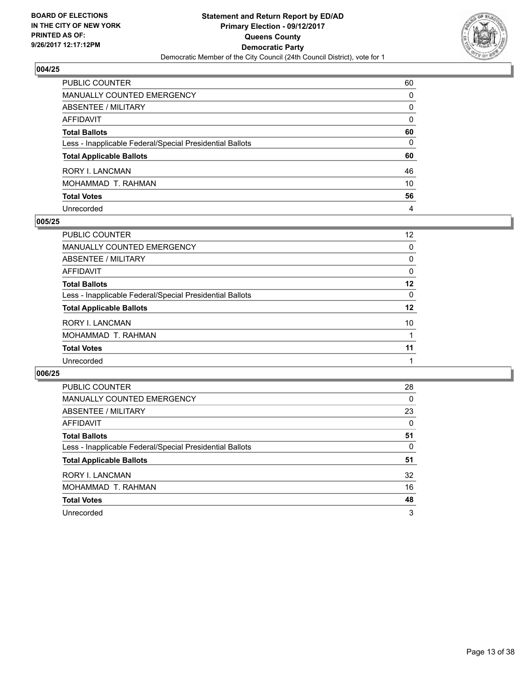

| PUBLIC COUNTER                                           | 60       |
|----------------------------------------------------------|----------|
| MANUALLY COUNTED EMERGENCY                               | $\Omega$ |
| <b>ABSENTEE / MILITARY</b>                               | $\Omega$ |
| <b>AFFIDAVIT</b>                                         | $\Omega$ |
| <b>Total Ballots</b>                                     | 60       |
| Less - Inapplicable Federal/Special Presidential Ballots | 0        |
| <b>Total Applicable Ballots</b>                          | 60       |
| RORY I. LANCMAN                                          | 46       |
| MOHAMMAD T. RAHMAN                                       | 10       |
| <b>Total Votes</b>                                       | 56       |
| Unrecorded                                               | 4        |

## **005/25**

| PUBLIC COUNTER                                           | 12 |
|----------------------------------------------------------|----|
| MANUALLY COUNTED EMERGENCY                               | 0  |
| ABSENTEE / MILITARY                                      | 0  |
| AFFIDAVIT                                                | 0  |
| <b>Total Ballots</b>                                     | 12 |
| Less - Inapplicable Federal/Special Presidential Ballots | 0  |
| <b>Total Applicable Ballots</b>                          | 12 |
| RORY I. LANCMAN                                          | 10 |
| MOHAMMAD T. RAHMAN                                       |    |
| <b>Total Votes</b>                                       | 11 |
| Unrecorded                                               |    |

| <b>PUBLIC COUNTER</b>                                    | 28 |
|----------------------------------------------------------|----|
| <b>MANUALLY COUNTED EMERGENCY</b>                        | 0  |
| ABSENTEE / MILITARY                                      | 23 |
| AFFIDAVIT                                                | 0  |
| <b>Total Ballots</b>                                     | 51 |
| Less - Inapplicable Federal/Special Presidential Ballots | 0  |
| <b>Total Applicable Ballots</b>                          | 51 |
| <b>RORY I. LANCMAN</b>                                   | 32 |
| MOHAMMAD T. RAHMAN                                       | 16 |
| <b>Total Votes</b>                                       | 48 |
| Unrecorded                                               | 3  |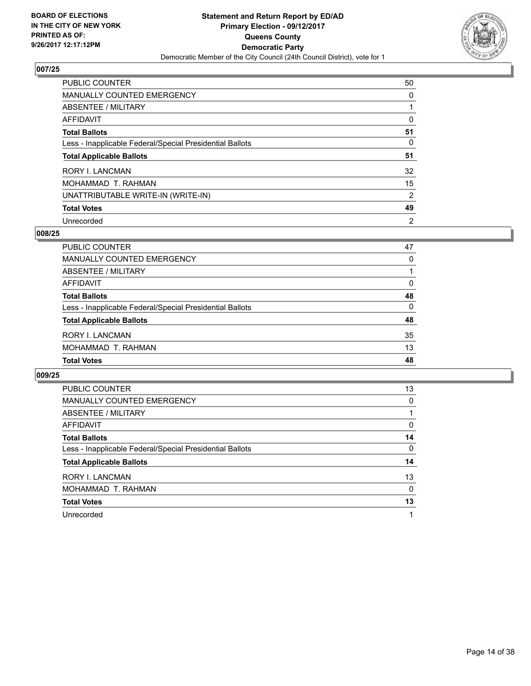

| <b>PUBLIC COUNTER</b>                                    | 50             |
|----------------------------------------------------------|----------------|
| <b>MANUALLY COUNTED EMERGENCY</b>                        | 0              |
| ABSENTEE / MILITARY                                      |                |
| AFFIDAVIT                                                | 0              |
| <b>Total Ballots</b>                                     | 51             |
| Less - Inapplicable Federal/Special Presidential Ballots | 0              |
| <b>Total Applicable Ballots</b>                          | 51             |
| <b>RORY I. LANCMAN</b>                                   | 32             |
| MOHAMMAD T. RAHMAN                                       | 15             |
| UNATTRIBUTABLE WRITE-IN (WRITE-IN)                       | 2              |
| <b>Total Votes</b>                                       | 49             |
| Unrecorded                                               | $\overline{2}$ |

#### **008/25**

| PUBLIC COUNTER                                           | 47       |
|----------------------------------------------------------|----------|
| MANUALLY COUNTED EMERGENCY                               | 0        |
| ABSENTEE / MILITARY                                      |          |
| AFFIDAVIT                                                | 0        |
| <b>Total Ballots</b>                                     | 48       |
| Less - Inapplicable Federal/Special Presidential Ballots | $\Omega$ |
| <b>Total Applicable Ballots</b>                          | 48       |
| RORY I. LANCMAN                                          | 35       |
| MOHAMMAD T. RAHMAN                                       | 13       |
| <b>Total Votes</b>                                       | 48       |

| <b>PUBLIC COUNTER</b>                                    | 13 |
|----------------------------------------------------------|----|
| <b>MANUALLY COUNTED EMERGENCY</b>                        | 0  |
| ABSENTEE / MILITARY                                      |    |
| <b>AFFIDAVIT</b>                                         | 0  |
| <b>Total Ballots</b>                                     | 14 |
| Less - Inapplicable Federal/Special Presidential Ballots | 0  |
| <b>Total Applicable Ballots</b>                          | 14 |
| <b>RORY I. LANCMAN</b>                                   | 13 |
| MOHAMMAD T. RAHMAN                                       | 0  |
| <b>Total Votes</b>                                       | 13 |
| Unrecorded                                               | 1  |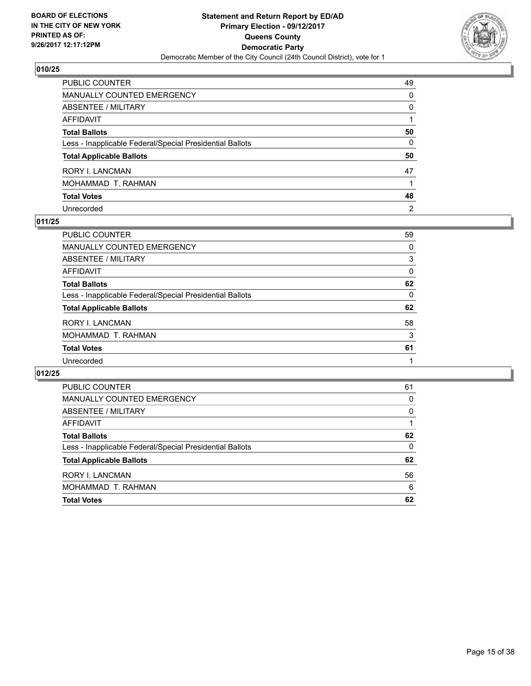

| PUBLIC COUNTER                                           | 49             |
|----------------------------------------------------------|----------------|
| MANUALLY COUNTED EMERGENCY                               | 0              |
| ABSENTEE / MILITARY                                      | 0              |
| AFFIDAVIT                                                |                |
| <b>Total Ballots</b>                                     | 50             |
| Less - Inapplicable Federal/Special Presidential Ballots | $\mathbf{0}$   |
| <b>Total Applicable Ballots</b>                          | 50             |
| RORY I. LANCMAN                                          | 47             |
| MOHAMMAD T. RAHMAN                                       |                |
| <b>Total Votes</b>                                       | 48             |
| Unrecorded                                               | $\overline{2}$ |

## **011/25**

| <b>PUBLIC COUNTER</b>                                    | 59 |
|----------------------------------------------------------|----|
| <b>MANUALLY COUNTED EMERGENCY</b>                        | 0  |
| ABSENTEE / MILITARY                                      | 3  |
| AFFIDAVIT                                                | 0  |
| <b>Total Ballots</b>                                     | 62 |
| Less - Inapplicable Federal/Special Presidential Ballots | 0  |
| <b>Total Applicable Ballots</b>                          | 62 |
| <b>RORY I. LANCMAN</b>                                   | 58 |
| MOHAMMAD T. RAHMAN                                       | 3  |
| <b>Total Votes</b>                                       | 61 |
| Unrecorded                                               |    |

| <b>PUBLIC COUNTER</b>                                    | 61 |
|----------------------------------------------------------|----|
| <b>MANUALLY COUNTED EMERGENCY</b>                        | 0  |
| ABSENTEE / MILITARY                                      | 0  |
| AFFIDAVIT                                                |    |
| <b>Total Ballots</b>                                     | 62 |
| Less - Inapplicable Federal/Special Presidential Ballots | 0  |
| <b>Total Applicable Ballots</b>                          | 62 |
| <b>RORY I. LANCMAN</b>                                   | 56 |
| MOHAMMAD T. RAHMAN                                       | 6  |
| <b>Total Votes</b>                                       | 62 |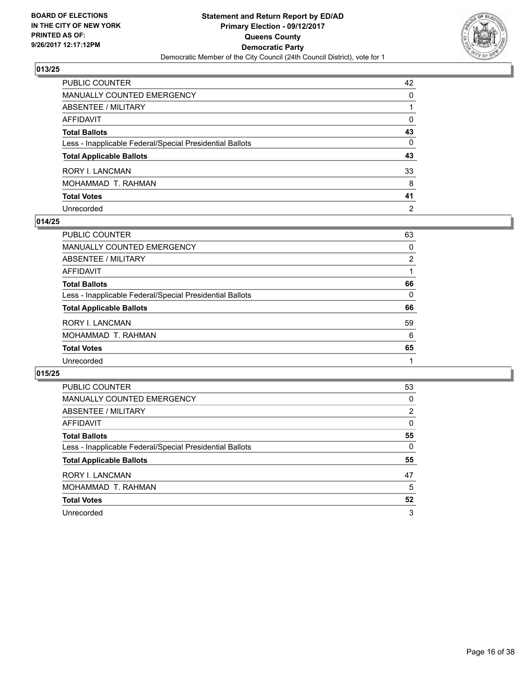

| PUBLIC COUNTER                                           | 42             |
|----------------------------------------------------------|----------------|
| MANUALLY COUNTED EMERGENCY                               | 0              |
| ABSENTEE / MILITARY                                      |                |
| AFFIDAVIT                                                | 0              |
| Total Ballots                                            | 43             |
| Less - Inapplicable Federal/Special Presidential Ballots | $\mathbf{0}$   |
| <b>Total Applicable Ballots</b>                          | 43             |
| RORY I. LANCMAN                                          | 33             |
| MOHAMMAD T. RAHMAN                                       | 8              |
| <b>Total Votes</b>                                       | 41             |
| Unrecorded                                               | $\overline{2}$ |

## **014/25**

| PUBLIC COUNTER                                           | 63 |
|----------------------------------------------------------|----|
| MANUALLY COUNTED EMERGENCY                               | 0  |
| ABSENTEE / MILITARY                                      | 2  |
| AFFIDAVIT                                                |    |
| <b>Total Ballots</b>                                     | 66 |
| Less - Inapplicable Federal/Special Presidential Ballots | 0  |
| <b>Total Applicable Ballots</b>                          | 66 |
| RORY I. LANCMAN                                          | 59 |
| MOHAMMAD T. RAHMAN                                       | 6  |
| <b>Total Votes</b>                                       | 65 |
| Unrecorded                                               |    |

| <b>PUBLIC COUNTER</b>                                    | 53             |
|----------------------------------------------------------|----------------|
| <b>MANUALLY COUNTED EMERGENCY</b>                        | 0              |
| ABSENTEE / MILITARY                                      | $\overline{2}$ |
| AFFIDAVIT                                                | 0              |
| <b>Total Ballots</b>                                     | 55             |
| Less - Inapplicable Federal/Special Presidential Ballots | 0              |
| <b>Total Applicable Ballots</b>                          | 55             |
| <b>RORY I. LANCMAN</b>                                   | 47             |
| MOHAMMAD T. RAHMAN                                       | 5              |
| <b>Total Votes</b>                                       | 52             |
| Unrecorded                                               |                |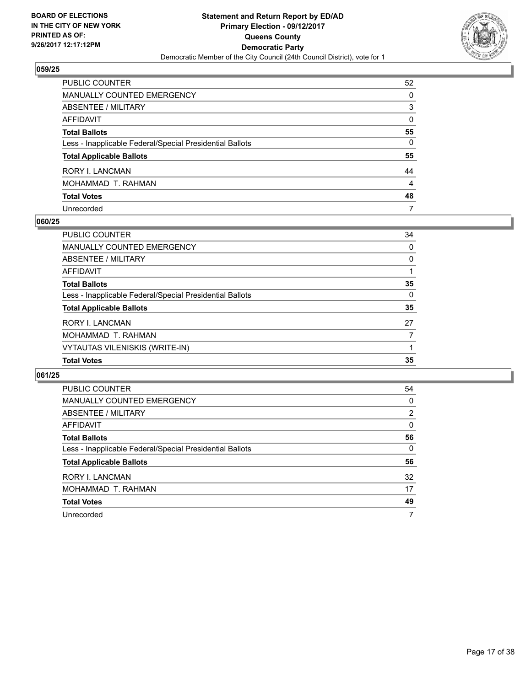

| PUBLIC COUNTER                                           | 52           |
|----------------------------------------------------------|--------------|
| MANUALLY COUNTED EMERGENCY                               | 0            |
| ABSENTEE / MILITARY                                      | 3            |
| AFFIDAVIT                                                | $\mathbf{0}$ |
| Total Ballots                                            | 55           |
| Less - Inapplicable Federal/Special Presidential Ballots | $\mathbf{0}$ |
| <b>Total Applicable Ballots</b>                          | 55           |
| RORY I. LANCMAN                                          | 44           |
| MOHAMMAD T. RAHMAN                                       | 4            |
| <b>Total Votes</b>                                       | 48           |
| Unrecorded                                               | 7            |

## **060/25**

| <b>PUBLIC COUNTER</b>                                    | 34 |
|----------------------------------------------------------|----|
| <b>MANUALLY COUNTED EMERGENCY</b>                        | 0  |
| ABSENTEE / MILITARY                                      | 0  |
| AFFIDAVIT                                                |    |
| <b>Total Ballots</b>                                     | 35 |
| Less - Inapplicable Federal/Special Presidential Ballots | 0  |
| <b>Total Applicable Ballots</b>                          | 35 |
| <b>RORY I. LANCMAN</b>                                   | 27 |
| MOHAMMAD T. RAHMAN                                       | 7  |
| VYTAUTAS VILENISKIS (WRITE-IN)                           |    |
| <b>Total Votes</b>                                       | 35 |

| PUBLIC COUNTER                                           | 54             |
|----------------------------------------------------------|----------------|
| <b>MANUALLY COUNTED EMERGENCY</b>                        | 0              |
| ABSENTEE / MILITARY                                      | $\overline{2}$ |
| AFFIDAVIT                                                | 0              |
| <b>Total Ballots</b>                                     | 56             |
| Less - Inapplicable Federal/Special Presidential Ballots | 0              |
| <b>Total Applicable Ballots</b>                          | 56             |
| RORY I. LANCMAN                                          | 32             |
| MOHAMMAD T. RAHMAN                                       | 17             |
| <b>Total Votes</b>                                       | 49             |
| Unrecorded                                               | 7              |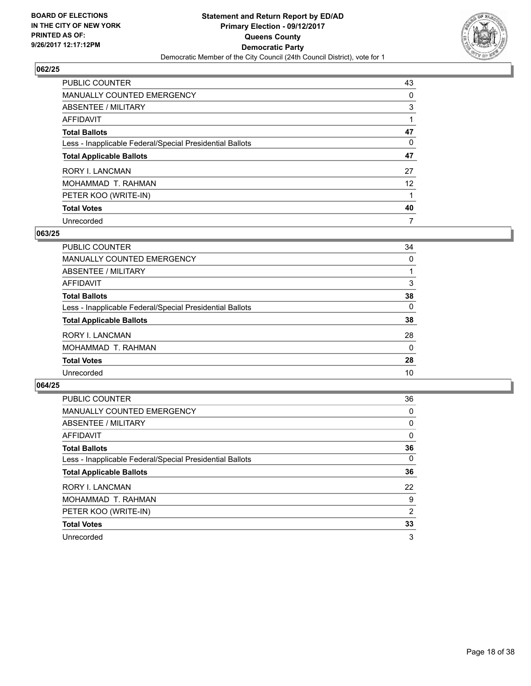

| PUBLIC COUNTER                                           | 43                |
|----------------------------------------------------------|-------------------|
| <b>MANUALLY COUNTED EMERGENCY</b>                        | 0                 |
| ABSENTEE / MILITARY                                      | 3                 |
| AFFIDAVIT                                                |                   |
| <b>Total Ballots</b>                                     | 47                |
| Less - Inapplicable Federal/Special Presidential Ballots | 0                 |
| <b>Total Applicable Ballots</b>                          | 47                |
| RORY I. LANCMAN                                          | 27                |
| MOHAMMAD T. RAHMAN                                       | $12 \overline{ }$ |
| PETER KOO (WRITE-IN)                                     |                   |
| <b>Total Votes</b>                                       | 40                |
| Unrecorded                                               | 7                 |

#### **063/25**

| <b>PUBLIC COUNTER</b>                                    | 34       |
|----------------------------------------------------------|----------|
| MANUALLY COUNTED EMERGENCY                               | 0        |
| ABSENTEE / MILITARY                                      |          |
| AFFIDAVIT                                                | 3        |
| <b>Total Ballots</b>                                     | 38       |
| Less - Inapplicable Federal/Special Presidential Ballots | 0        |
| <b>Total Applicable Ballots</b>                          | 38       |
| <b>RORY I. LANCMAN</b>                                   | 28       |
| MOHAMMAD T. RAHMAN                                       | $\Omega$ |
| <b>Total Votes</b>                                       | 28       |
| Unrecorded                                               | 10       |

| <b>PUBLIC COUNTER</b>                                    | 36             |
|----------------------------------------------------------|----------------|
| MANUALLY COUNTED EMERGENCY                               | 0              |
| ABSENTEE / MILITARY                                      | 0              |
| AFFIDAVIT                                                | 0              |
| <b>Total Ballots</b>                                     | 36             |
| Less - Inapplicable Federal/Special Presidential Ballots | $\Omega$       |
| <b>Total Applicable Ballots</b>                          | 36             |
| <b>RORY I. LANCMAN</b>                                   | 22             |
| MOHAMMAD T. RAHMAN                                       | 9              |
| PETER KOO (WRITE-IN)                                     | $\overline{2}$ |
| <b>Total Votes</b>                                       | 33             |
| Unrecorded                                               | 3              |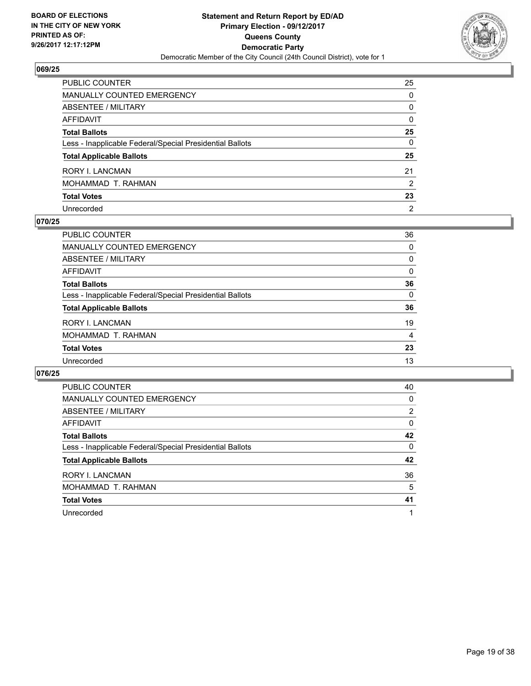

| PUBLIC COUNTER                                           | 25             |
|----------------------------------------------------------|----------------|
| <b>MANUALLY COUNTED EMERGENCY</b>                        | $\mathbf{0}$   |
| <b>ABSENTEE / MILITARY</b>                               | 0              |
| <b>AFFIDAVIT</b>                                         | $\mathbf{0}$   |
| <b>Total Ballots</b>                                     | 25             |
| Less - Inapplicable Federal/Special Presidential Ballots | $\mathbf{0}$   |
| <b>Total Applicable Ballots</b>                          | 25             |
| RORY I. LANCMAN                                          | 21             |
| MOHAMMAD T. RAHMAN                                       | 2              |
| <b>Total Votes</b>                                       | 23             |
| Unrecorded                                               | $\overline{2}$ |

## **070/25**

| PUBLIC COUNTER                                           | 36 |
|----------------------------------------------------------|----|
| <b>MANUALLY COUNTED EMERGENCY</b>                        | 0  |
| ABSENTEE / MILITARY                                      | 0  |
| AFFIDAVIT                                                | 0  |
| <b>Total Ballots</b>                                     | 36 |
| Less - Inapplicable Federal/Special Presidential Ballots | 0  |
| <b>Total Applicable Ballots</b>                          | 36 |
| <b>RORY I. LANCMAN</b>                                   | 19 |
| MOHAMMAD T. RAHMAN                                       | 4  |
| <b>Total Votes</b>                                       | 23 |
| Unrecorded                                               | 13 |

| <b>PUBLIC COUNTER</b>                                    | 40 |
|----------------------------------------------------------|----|
| <b>MANUALLY COUNTED EMERGENCY</b>                        | 0  |
| ABSENTEE / MILITARY                                      | 2  |
| <b>AFFIDAVIT</b>                                         | 0  |
| <b>Total Ballots</b>                                     | 42 |
| Less - Inapplicable Federal/Special Presidential Ballots | 0  |
| <b>Total Applicable Ballots</b>                          | 42 |
| RORY I. LANCMAN                                          | 36 |
| MOHAMMAD T. RAHMAN                                       | 5  |
| <b>Total Votes</b>                                       | 41 |
| Unrecorded                                               |    |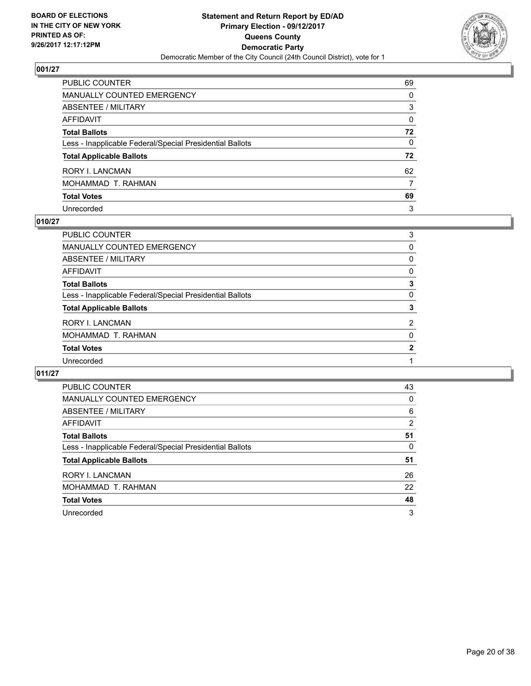

| PUBLIC COUNTER                                           | 69           |
|----------------------------------------------------------|--------------|
| <b>MANUALLY COUNTED EMERGENCY</b>                        | $\Omega$     |
| <b>ABSENTEE / MILITARY</b>                               | 3            |
| AFFIDAVIT                                                | $\mathbf{0}$ |
| <b>Total Ballots</b>                                     | 72           |
| Less - Inapplicable Federal/Special Presidential Ballots | $\mathbf{0}$ |
| <b>Total Applicable Ballots</b>                          | 72           |
| RORY I. LANCMAN                                          | 62           |
| MOHAMMAD T. RAHMAN                                       | 7            |
| <b>Total Votes</b>                                       | 69           |
| Unrecorded                                               | 3            |

## **010/27**

| PUBLIC COUNTER                                           | 3            |
|----------------------------------------------------------|--------------|
| MANUALLY COUNTED EMERGENCY                               | 0            |
| ABSENTEE / MILITARY                                      | 0            |
| AFFIDAVIT                                                | 0            |
| <b>Total Ballots</b>                                     | 3            |
| Less - Inapplicable Federal/Special Presidential Ballots | 0            |
| <b>Total Applicable Ballots</b>                          | 3            |
| RORY I. LANCMAN                                          | 2            |
| MOHAMMAD T. RAHMAN                                       | $\Omega$     |
| <b>Total Votes</b>                                       | $\mathbf{2}$ |
| Unrecorded                                               |              |
|                                                          |              |

| PUBLIC COUNTER                                           | 43 |
|----------------------------------------------------------|----|
| <b>MANUALLY COUNTED EMERGENCY</b>                        | 0  |
| ABSENTEE / MILITARY                                      | 6  |
| AFFIDAVIT                                                | 2  |
| <b>Total Ballots</b>                                     | 51 |
| Less - Inapplicable Federal/Special Presidential Ballots | 0  |
| <b>Total Applicable Ballots</b>                          | 51 |
| RORY I. LANCMAN                                          | 26 |
| MOHAMMAD T. RAHMAN                                       | 22 |
| <b>Total Votes</b>                                       | 48 |
| Unrecorded                                               | 3  |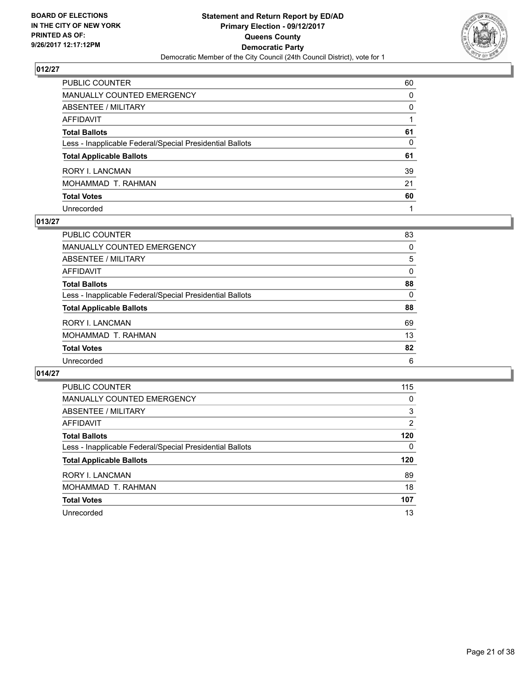

| PUBLIC COUNTER                                           | 60           |
|----------------------------------------------------------|--------------|
| MANUALLY COUNTED EMERGENCY                               | 0            |
| ABSENTEE / MILITARY                                      | $\mathbf{0}$ |
| AFFIDAVIT                                                |              |
| <b>Total Ballots</b>                                     | 61           |
| Less - Inapplicable Federal/Special Presidential Ballots | 0            |
| <b>Total Applicable Ballots</b>                          | 61           |
| RORY I. LANCMAN                                          | 39           |
| MOHAMMAD T. RAHMAN                                       | 21           |
| <b>Total Votes</b>                                       | 60           |
| Unrecorded                                               |              |

## **013/27**

| <b>PUBLIC COUNTER</b>                                    | 83 |
|----------------------------------------------------------|----|
| MANUALLY COUNTED EMERGENCY                               | 0  |
| ABSENTEE / MILITARY                                      | 5  |
| AFFIDAVIT                                                | 0  |
| <b>Total Ballots</b>                                     | 88 |
| Less - Inapplicable Federal/Special Presidential Ballots | 0  |
| <b>Total Applicable Ballots</b>                          | 88 |
| <b>RORY I. LANCMAN</b>                                   | 69 |
| MOHAMMAD T. RAHMAN                                       | 13 |
| <b>Total Votes</b>                                       | 82 |
| Unrecorded                                               | 6  |

| PUBLIC COUNTER                                           | 115 |
|----------------------------------------------------------|-----|
| <b>MANUALLY COUNTED EMERGENCY</b>                        | 0   |
| ABSENTEE / MILITARY                                      | 3   |
| <b>AFFIDAVIT</b>                                         | 2   |
| <b>Total Ballots</b>                                     | 120 |
| Less - Inapplicable Federal/Special Presidential Ballots | 0   |
| <b>Total Applicable Ballots</b>                          | 120 |
| RORY I. LANCMAN                                          | 89  |
| MOHAMMAD T. RAHMAN                                       | 18  |
| <b>Total Votes</b>                                       | 107 |
|                                                          |     |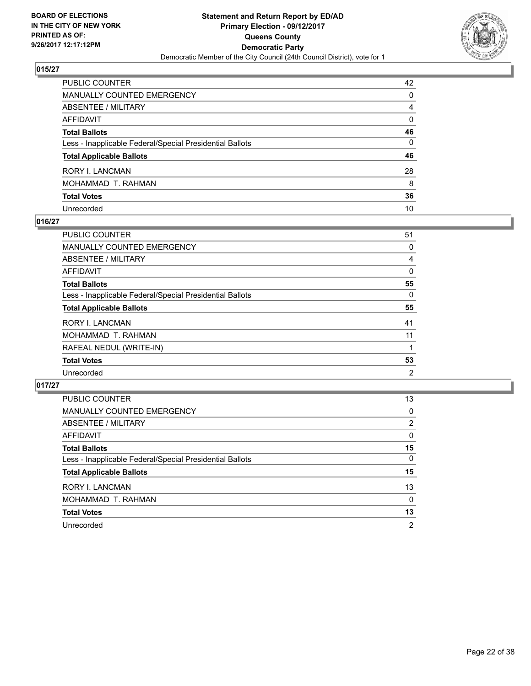

| PUBLIC COUNTER                                           | 42           |
|----------------------------------------------------------|--------------|
| MANUALLY COUNTED EMERGENCY                               | 0            |
| ABSENTEE / MILITARY                                      | 4            |
| AFFIDAVIT                                                | $\Omega$     |
| <b>Total Ballots</b>                                     | 46           |
| Less - Inapplicable Federal/Special Presidential Ballots | $\mathbf{0}$ |
| <b>Total Applicable Ballots</b>                          | 46           |
| RORY I. LANCMAN                                          | 28           |
| MOHAMMAD T. RAHMAN                                       | 8            |
| <b>Total Votes</b>                                       | 36           |
| Unrecorded                                               | 10           |

## **016/27**

| PUBLIC COUNTER                                           | 51             |
|----------------------------------------------------------|----------------|
| <b>MANUALLY COUNTED EMERGENCY</b>                        | 0              |
| ABSENTEE / MILITARY                                      | 4              |
| AFFIDAVIT                                                | 0              |
| <b>Total Ballots</b>                                     | 55             |
| Less - Inapplicable Federal/Special Presidential Ballots | 0              |
| <b>Total Applicable Ballots</b>                          | 55             |
| RORY I. LANCMAN                                          | 41             |
| MOHAMMAD T. RAHMAN                                       | 11             |
| RAFEAL NEDUL (WRITE-IN)                                  |                |
| <b>Total Votes</b>                                       | 53             |
| Unrecorded                                               | $\overline{2}$ |

| <b>PUBLIC COUNTER</b>                                    | 13             |
|----------------------------------------------------------|----------------|
| MANUALLY COUNTED EMERGENCY                               | 0              |
| ABSENTEE / MILITARY                                      | 2              |
| AFFIDAVIT                                                | 0              |
| <b>Total Ballots</b>                                     | 15             |
| Less - Inapplicable Federal/Special Presidential Ballots | 0              |
| <b>Total Applicable Ballots</b>                          | 15             |
| <b>RORY I. LANCMAN</b>                                   | 13             |
| MOHAMMAD T. RAHMAN                                       | 0              |
| <b>Total Votes</b>                                       | 13             |
| Unrecorded                                               | $\overline{2}$ |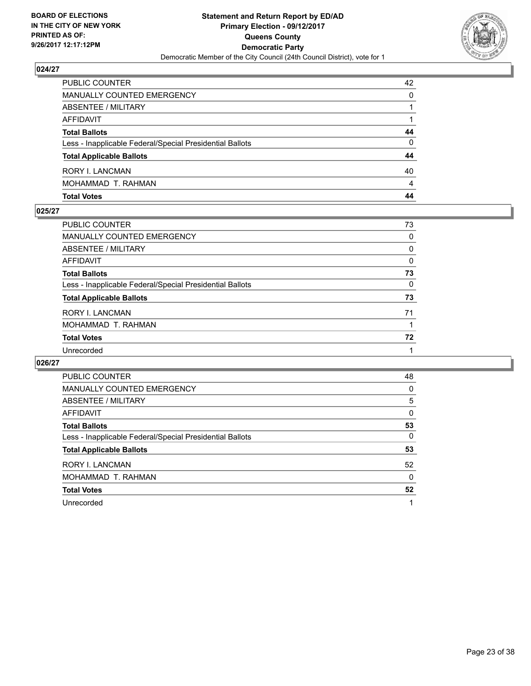

| <b>PUBLIC COUNTER</b>                                    | 42 |
|----------------------------------------------------------|----|
| MANUALLY COUNTED EMERGENCY                               | 0  |
| <b>ABSENTEE / MILITARY</b>                               |    |
| AFFIDAVIT                                                |    |
| <b>Total Ballots</b>                                     | 44 |
| Less - Inapplicable Federal/Special Presidential Ballots | 0  |
| <b>Total Applicable Ballots</b>                          | 44 |
| RORY I. LANCMAN                                          | 40 |
| MOHAMMAD T. RAHMAN                                       | 4  |
| <b>Total Votes</b>                                       | 44 |

#### **025/27**

| PUBLIC COUNTER                                           | 73 |
|----------------------------------------------------------|----|
| <b>MANUALLY COUNTED EMERGENCY</b>                        | 0  |
| ABSENTEE / MILITARY                                      | 0  |
| <b>AFFIDAVIT</b>                                         | 0  |
| <b>Total Ballots</b>                                     | 73 |
| Less - Inapplicable Federal/Special Presidential Ballots | 0  |
| <b>Total Applicable Ballots</b>                          | 73 |
| <b>RORY I. LANCMAN</b>                                   | 71 |
| MOHAMMAD T. RAHMAN                                       | 1  |
| <b>Total Votes</b>                                       | 72 |
| Unrecorded                                               |    |
|                                                          |    |

| <b>PUBLIC COUNTER</b>                                    | 48 |
|----------------------------------------------------------|----|
| <b>MANUALLY COUNTED EMERGENCY</b>                        | 0  |
| ABSENTEE / MILITARY                                      | 5  |
| AFFIDAVIT                                                | 0  |
| <b>Total Ballots</b>                                     | 53 |
| Less - Inapplicable Federal/Special Presidential Ballots | 0  |
| <b>Total Applicable Ballots</b>                          | 53 |
| RORY I. LANCMAN                                          | 52 |
| MOHAMMAD T. RAHMAN                                       | 0  |
| <b>Total Votes</b>                                       | 52 |
| Unrecorded                                               |    |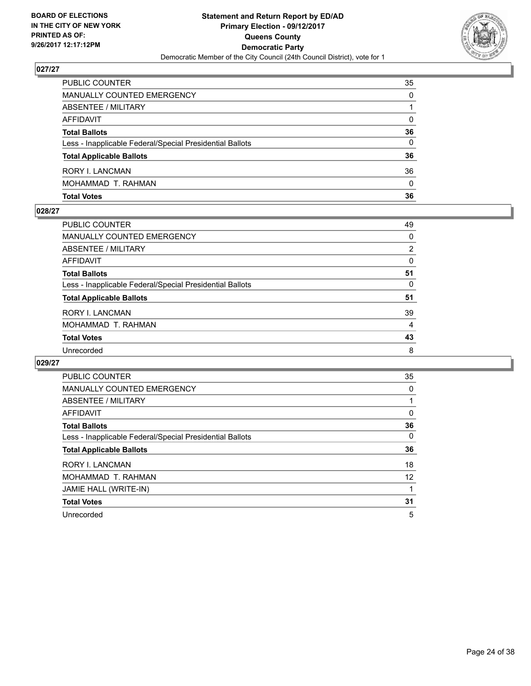

| <b>Total Votes</b>                                       | 36       |
|----------------------------------------------------------|----------|
| MOHAMMAD T. RAHMAN                                       | $\Omega$ |
| RORY I. LANCMAN                                          | 36       |
| <b>Total Applicable Ballots</b>                          | 36       |
| Less - Inapplicable Federal/Special Presidential Ballots | 0        |
| <b>Total Ballots</b>                                     | 36       |
| AFFIDAVIT                                                | 0        |
| ABSENTEE / MILITARY                                      |          |
| MANUALLY COUNTED EMERGENCY                               | 0        |
| <b>PUBLIC COUNTER</b>                                    | 35       |

#### **028/27**

| <b>PUBLIC COUNTER</b>                                    | 49 |
|----------------------------------------------------------|----|
| <b>MANUALLY COUNTED EMERGENCY</b>                        | 0  |
| ABSENTEE / MILITARY                                      | 2  |
| AFFIDAVIT                                                | 0  |
| <b>Total Ballots</b>                                     | 51 |
| Less - Inapplicable Federal/Special Presidential Ballots | 0  |
| <b>Total Applicable Ballots</b>                          | 51 |
| <b>RORY I. LANCMAN</b>                                   | 39 |
| MOHAMMAD T. RAHMAN                                       | 4  |
| <b>Total Votes</b>                                       | 43 |
| Unrecorded                                               | 8  |
|                                                          |    |

| <b>PUBLIC COUNTER</b>                                    | 35 |
|----------------------------------------------------------|----|
| <b>MANUALLY COUNTED EMERGENCY</b>                        | 0  |
| ABSENTEE / MILITARY                                      |    |
| AFFIDAVIT                                                | 0  |
| <b>Total Ballots</b>                                     | 36 |
| Less - Inapplicable Federal/Special Presidential Ballots | 0  |
| <b>Total Applicable Ballots</b>                          | 36 |
| <b>RORY I. LANCMAN</b>                                   | 18 |
| MOHAMMAD T. RAHMAN                                       | 12 |
| JAMIE HALL (WRITE-IN)                                    |    |
| <b>Total Votes</b>                                       | 31 |
| Unrecorded                                               | 5  |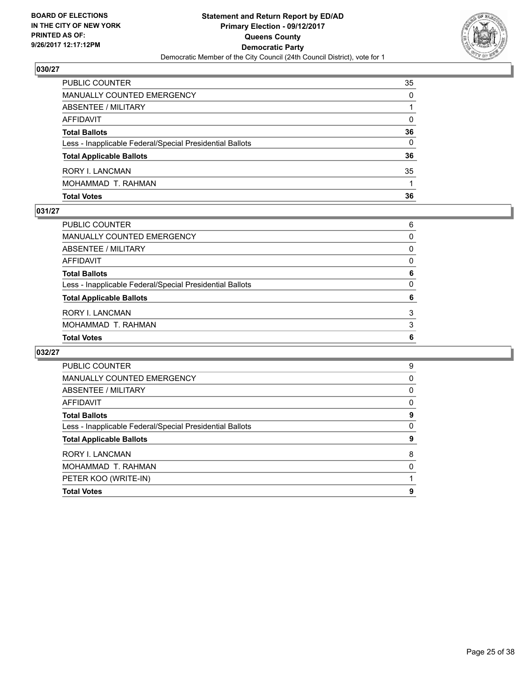

| PUBLIC COUNTER                                           | 35 |
|----------------------------------------------------------|----|
| <b>MANUALLY COUNTED EMERGENCY</b>                        | 0  |
| ABSENTEE / MILITARY                                      |    |
| AFFIDAVIT                                                | 0  |
| <b>Total Ballots</b>                                     | 36 |
| Less - Inapplicable Federal/Special Presidential Ballots | 0  |
| <b>Total Applicable Ballots</b>                          | 36 |
| RORY I. LANCMAN                                          | 35 |
| MOHAMMAD T. RAHMAN                                       |    |
| <b>Total Votes</b>                                       | 36 |

#### **031/27**

| ABSENTEE / MILITARY                                      | $\Omega$ |
|----------------------------------------------------------|----------|
| <b>AFFIDAVIT</b>                                         | $\Omega$ |
| <b>Total Ballots</b>                                     | 6        |
| Less - Inapplicable Federal/Special Presidential Ballots | 0        |
| <b>Total Applicable Ballots</b>                          | 6        |
| RORY I. LANCMAN                                          | 3        |
| MOHAMMAD T. RAHMAN                                       | 3        |
| <b>Total Votes</b>                                       | 6        |
|                                                          |          |

| <b>PUBLIC COUNTER</b>                                    | 9 |
|----------------------------------------------------------|---|
| <b>MANUALLY COUNTED EMERGENCY</b>                        | 0 |
| <b>ABSENTEE / MILITARY</b>                               | 0 |
| AFFIDAVIT                                                | 0 |
| <b>Total Ballots</b>                                     | 9 |
| Less - Inapplicable Federal/Special Presidential Ballots | 0 |
| <b>Total Applicable Ballots</b>                          | 9 |
| RORY I. LANCMAN                                          | 8 |
| MOHAMMAD T. RAHMAN                                       | 0 |
| PETER KOO (WRITE-IN)                                     |   |
| <b>Total Votes</b>                                       | 9 |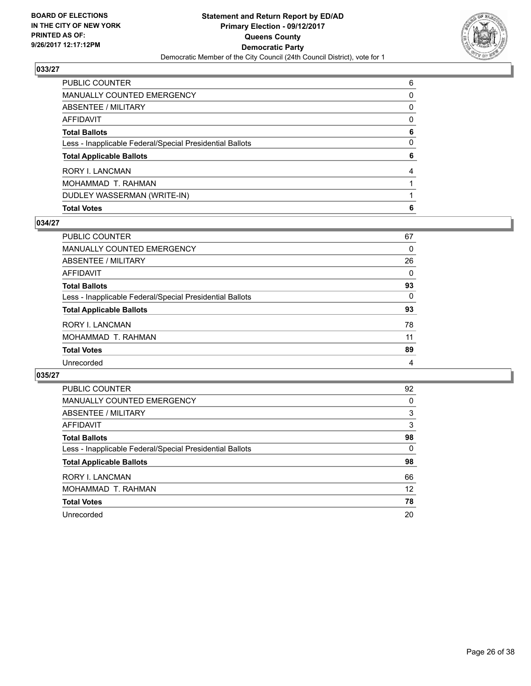

| <b>Total Votes</b>                                       | 6 |
|----------------------------------------------------------|---|
| DUDLEY WASSERMAN (WRITE-IN)                              |   |
| MOHAMMAD T. RAHMAN                                       |   |
| RORY I. LANCMAN                                          | 4 |
| <b>Total Applicable Ballots</b>                          | 6 |
| Less - Inapplicable Federal/Special Presidential Ballots | 0 |
| <b>Total Ballots</b>                                     | 6 |
| <b>AFFIDAVIT</b>                                         | 0 |
| <b>ABSENTEE / MILITARY</b>                               | 0 |
| <b>MANUALLY COUNTED EMERGENCY</b>                        | 0 |
| PUBLIC COUNTER                                           | 6 |

## **034/27**

| <b>PUBLIC COUNTER</b>                                    | 67 |
|----------------------------------------------------------|----|
| <b>MANUALLY COUNTED EMERGENCY</b>                        | 0  |
| ABSENTEE / MILITARY                                      | 26 |
| AFFIDAVIT                                                | 0  |
| <b>Total Ballots</b>                                     | 93 |
| Less - Inapplicable Federal/Special Presidential Ballots | 0  |
| <b>Total Applicable Ballots</b>                          | 93 |
| <b>RORY I. LANCMAN</b>                                   | 78 |
| MOHAMMAD T. RAHMAN                                       | 11 |
| <b>Total Votes</b>                                       | 89 |
| Unrecorded                                               | 4  |

| <b>PUBLIC COUNTER</b>                                    | 92 |
|----------------------------------------------------------|----|
| <b>MANUALLY COUNTED EMERGENCY</b>                        | 0  |
| ABSENTEE / MILITARY                                      | 3  |
| <b>AFFIDAVIT</b>                                         | 3  |
| <b>Total Ballots</b>                                     | 98 |
| Less - Inapplicable Federal/Special Presidential Ballots | 0  |
| <b>Total Applicable Ballots</b>                          | 98 |
| <b>RORY I. LANCMAN</b>                                   | 66 |
| MOHAMMAD T. RAHMAN                                       | 12 |
| <b>Total Votes</b>                                       | 78 |
| Unrecorded                                               | 20 |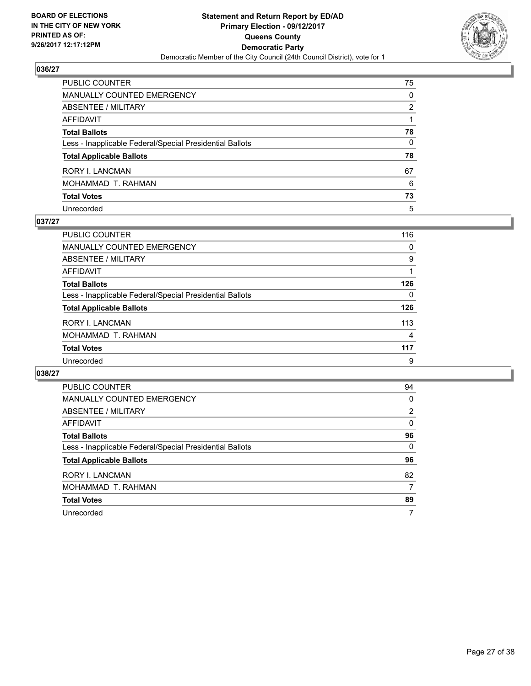

| PUBLIC COUNTER                                           | 75           |
|----------------------------------------------------------|--------------|
| MANUALLY COUNTED EMERGENCY                               | 0            |
| ABSENTEE / MILITARY                                      | 2            |
| AFFIDAVIT                                                |              |
| Total Ballots                                            | 78           |
| Less - Inapplicable Federal/Special Presidential Ballots | $\mathbf{0}$ |
| <b>Total Applicable Ballots</b>                          | 78           |
| RORY I. LANCMAN                                          | 67           |
| MOHAMMAD T. RAHMAN                                       | 6            |
| <b>Total Votes</b>                                       | 73           |
| Unrecorded                                               | 5            |

## **037/27**

| <b>PUBLIC COUNTER</b>                                    | 116 |
|----------------------------------------------------------|-----|
| <b>MANUALLY COUNTED EMERGENCY</b>                        | 0   |
| ABSENTEE / MILITARY                                      | 9   |
| AFFIDAVIT                                                |     |
| <b>Total Ballots</b>                                     | 126 |
| Less - Inapplicable Federal/Special Presidential Ballots | 0   |
| <b>Total Applicable Ballots</b>                          | 126 |
| <b>RORY I. LANCMAN</b>                                   | 113 |
| MOHAMMAD T. RAHMAN                                       | 4   |
| <b>Total Votes</b>                                       | 117 |
| Unrecorded                                               | 9   |

| PUBLIC COUNTER                                           | 94 |
|----------------------------------------------------------|----|
| <b>MANUALLY COUNTED EMERGENCY</b>                        | 0  |
| ABSENTEE / MILITARY                                      | 2  |
| AFFIDAVIT                                                | 0  |
| <b>Total Ballots</b>                                     | 96 |
| Less - Inapplicable Federal/Special Presidential Ballots | 0  |
| <b>Total Applicable Ballots</b>                          | 96 |
| <b>RORY I. LANCMAN</b>                                   | 82 |
| MOHAMMAD T. RAHMAN                                       | 7  |
| <b>Total Votes</b>                                       | 89 |
| Unrecorded                                               | 7  |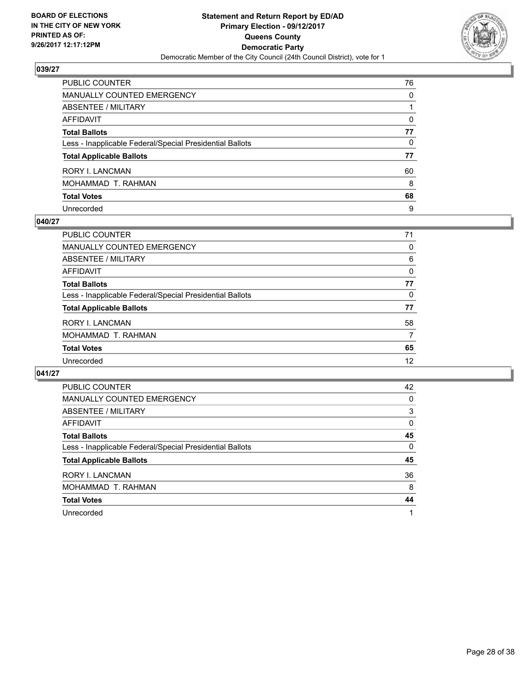

| PUBLIC COUNTER                                           | 76       |
|----------------------------------------------------------|----------|
| <b>MANUALLY COUNTED EMERGENCY</b>                        | $\Omega$ |
| <b>ABSENTEE / MILITARY</b>                               |          |
| <b>AFFIDAVIT</b>                                         | $\Omega$ |
| <b>Total Ballots</b>                                     | 77       |
| Less - Inapplicable Federal/Special Presidential Ballots | 0        |
| <b>Total Applicable Ballots</b>                          | 77       |
| RORY I. LANCMAN                                          | 60       |
| MOHAMMAD T. RAHMAN                                       | 8        |
| <b>Total Votes</b>                                       | 68       |
| Unrecorded                                               | 9        |

## **040/27**

| <b>PUBLIC COUNTER</b>                                    | 71 |
|----------------------------------------------------------|----|
| <b>MANUALLY COUNTED EMERGENCY</b>                        | 0  |
| ABSENTEE / MILITARY                                      | 6  |
| AFFIDAVIT                                                | 0  |
| <b>Total Ballots</b>                                     | 77 |
| Less - Inapplicable Federal/Special Presidential Ballots | 0  |
| <b>Total Applicable Ballots</b>                          | 77 |
| <b>RORY I. LANCMAN</b>                                   | 58 |
| MOHAMMAD T. RAHMAN                                       | 7  |
| <b>Total Votes</b>                                       | 65 |
| Unrecorded                                               | 12 |
|                                                          |    |

| <b>PUBLIC COUNTER</b>                                    | 42 |
|----------------------------------------------------------|----|
| <b>MANUALLY COUNTED EMERGENCY</b>                        | 0  |
| ABSENTEE / MILITARY                                      | 3  |
| <b>AFFIDAVIT</b>                                         | 0  |
| <b>Total Ballots</b>                                     | 45 |
| Less - Inapplicable Federal/Special Presidential Ballots | 0  |
| <b>Total Applicable Ballots</b>                          | 45 |
| <b>RORY I. LANCMAN</b>                                   | 36 |
| MOHAMMAD T. RAHMAN                                       | 8  |
| <b>Total Votes</b>                                       | 44 |
| Unrecorded                                               | 1  |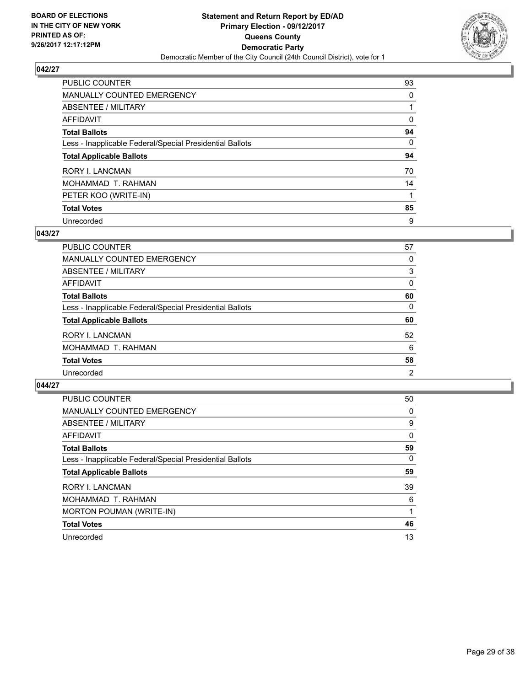

| <b>PUBLIC COUNTER</b>                                    | 93 |
|----------------------------------------------------------|----|
| MANUALLY COUNTED EMERGENCY                               | 0  |
| ABSENTEE / MILITARY                                      |    |
| <b>AFFIDAVIT</b>                                         | 0  |
| <b>Total Ballots</b>                                     | 94 |
| Less - Inapplicable Federal/Special Presidential Ballots | 0  |
| <b>Total Applicable Ballots</b>                          | 94 |
| <b>RORY I. LANCMAN</b>                                   | 70 |
| MOHAMMAD T. RAHMAN                                       | 14 |
| PETER KOO (WRITE-IN)                                     |    |
| <b>Total Votes</b>                                       | 85 |
| Unrecorded                                               | 9  |

## **043/27**

| PUBLIC COUNTER                                           | 57             |
|----------------------------------------------------------|----------------|
| MANUALLY COUNTED EMERGENCY                               | 0              |
| ABSENTEE / MILITARY                                      | 3              |
| AFFIDAVIT                                                | 0              |
| <b>Total Ballots</b>                                     | 60             |
| Less - Inapplicable Federal/Special Presidential Ballots | 0              |
| <b>Total Applicable Ballots</b>                          | 60             |
| <b>RORY I. LANCMAN</b>                                   | 52             |
| MOHAMMAD T. RAHMAN                                       | 6              |
| <b>Total Votes</b>                                       | 58             |
| Unrecorded                                               | $\overline{2}$ |

| <b>PUBLIC COUNTER</b>                                    | 50           |
|----------------------------------------------------------|--------------|
| <b>MANUALLY COUNTED EMERGENCY</b>                        | 0            |
| ABSENTEE / MILITARY                                      | 9            |
| AFFIDAVIT                                                | $\mathbf{0}$ |
| <b>Total Ballots</b>                                     | 59           |
| Less - Inapplicable Federal/Special Presidential Ballots | $\Omega$     |
| <b>Total Applicable Ballots</b>                          | 59           |
| <b>RORY I. LANCMAN</b>                                   | 39           |
| MOHAMMAD T. RAHMAN                                       | 6            |
| <b>MORTON POUMAN (WRITE-IN)</b>                          |              |
| <b>Total Votes</b>                                       | 46           |
| Unrecorded                                               | 13           |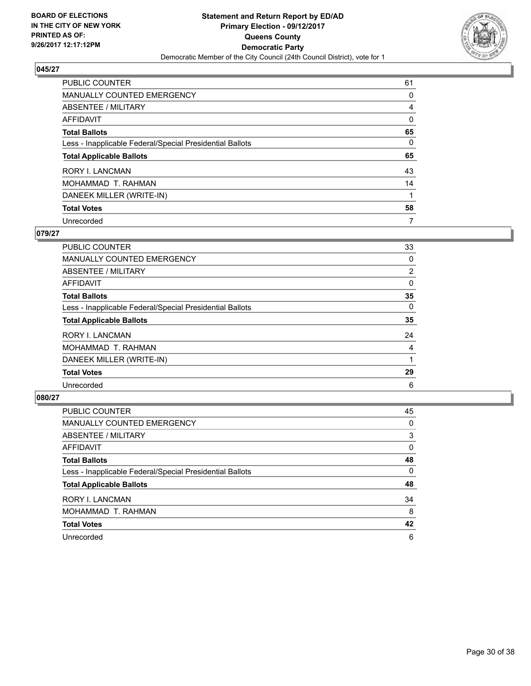

| <b>PUBLIC COUNTER</b>                                    | 61       |
|----------------------------------------------------------|----------|
| <b>MANUALLY COUNTED EMERGENCY</b>                        | 0        |
| ABSENTEE / MILITARY                                      | 4        |
| <b>AFFIDAVIT</b>                                         | 0        |
| <b>Total Ballots</b>                                     | 65       |
| Less - Inapplicable Federal/Special Presidential Ballots | $\Omega$ |
| <b>Total Applicable Ballots</b>                          | 65       |
| <b>RORY I. LANCMAN</b>                                   | 43       |
| MOHAMMAD T. RAHMAN                                       | 14       |
| DANEEK MILLER (WRITE-IN)                                 |          |
| <b>Total Votes</b>                                       | 58       |
| Unrecorded                                               | 7        |

#### **079/27**

| <b>PUBLIC COUNTER</b>                                    | 33       |
|----------------------------------------------------------|----------|
| <b>MANUALLY COUNTED EMERGENCY</b>                        | 0        |
| ABSENTEE / MILITARY                                      | 2        |
| <b>AFFIDAVIT</b>                                         | 0        |
| <b>Total Ballots</b>                                     | 35       |
| Less - Inapplicable Federal/Special Presidential Ballots | $\Omega$ |
| <b>Total Applicable Ballots</b>                          | 35       |
| <b>RORY I. LANCMAN</b>                                   | 24       |
| MOHAMMAD T. RAHMAN                                       | 4        |
| DANEEK MILLER (WRITE-IN)                                 |          |
| <b>Total Votes</b>                                       | 29       |
| Unrecorded                                               | 6        |

| <b>PUBLIC COUNTER</b>                                    | 45 |
|----------------------------------------------------------|----|
| MANUALLY COUNTED EMERGENCY                               | 0  |
| ABSENTEE / MILITARY                                      | 3  |
| AFFIDAVIT                                                | 0  |
| <b>Total Ballots</b>                                     | 48 |
| Less - Inapplicable Federal/Special Presidential Ballots | 0  |
| <b>Total Applicable Ballots</b>                          | 48 |
| <b>RORY I. LANCMAN</b>                                   | 34 |
| MOHAMMAD T. RAHMAN                                       | 8  |
| <b>Total Votes</b>                                       | 42 |
| Unrecorded                                               | 6  |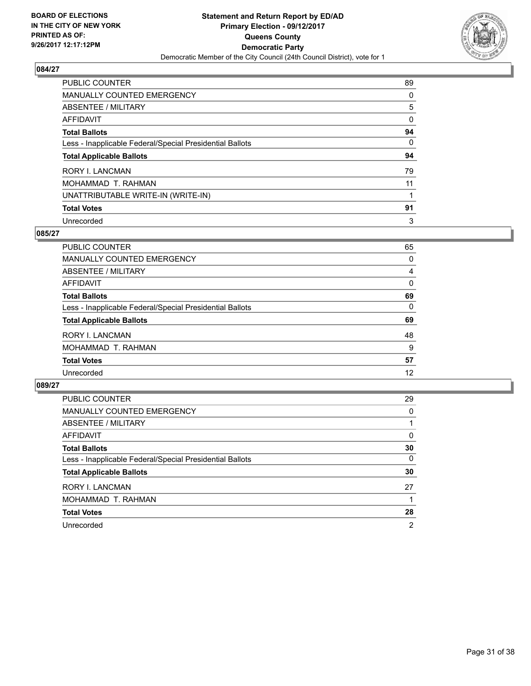

| <b>PUBLIC COUNTER</b>                                    | 89 |
|----------------------------------------------------------|----|
| <b>MANUALLY COUNTED EMERGENCY</b>                        | 0  |
| ABSENTEE / MILITARY                                      | 5  |
| AFFIDAVIT                                                | 0  |
| <b>Total Ballots</b>                                     | 94 |
| Less - Inapplicable Federal/Special Presidential Ballots | 0  |
| <b>Total Applicable Ballots</b>                          | 94 |
| <b>RORY I. LANCMAN</b>                                   | 79 |
| MOHAMMAD T. RAHMAN                                       | 11 |
| UNATTRIBUTABLE WRITE-IN (WRITE-IN)                       |    |
| <b>Total Votes</b>                                       | 91 |
| Unrecorded                                               | 3  |

#### **085/27**

| <b>PUBLIC COUNTER</b>                                    | 65 |
|----------------------------------------------------------|----|
| MANUALLY COUNTED EMERGENCY                               | 0  |
| ABSENTEE / MILITARY                                      | 4  |
| AFFIDAVIT                                                | 0  |
| <b>Total Ballots</b>                                     | 69 |
| Less - Inapplicable Federal/Special Presidential Ballots | 0  |
| <b>Total Applicable Ballots</b>                          | 69 |
| <b>RORY I. LANCMAN</b>                                   | 48 |
| MOHAMMAD T. RAHMAN                                       | 9  |
| <b>Total Votes</b>                                       | 57 |
| Unrecorded                                               | 12 |

| PUBLIC COUNTER                                           | 29             |
|----------------------------------------------------------|----------------|
| MANUALLY COUNTED EMERGENCY                               | 0              |
| ABSENTEE / MILITARY                                      |                |
| AFFIDAVIT                                                | 0              |
| <b>Total Ballots</b>                                     | 30             |
| Less - Inapplicable Federal/Special Presidential Ballots | 0              |
| <b>Total Applicable Ballots</b>                          | 30             |
| <b>RORY I. LANCMAN</b>                                   | 27             |
| MOHAMMAD T. RAHMAN                                       |                |
| <b>Total Votes</b>                                       | 28             |
| Unrecorded                                               | $\overline{2}$ |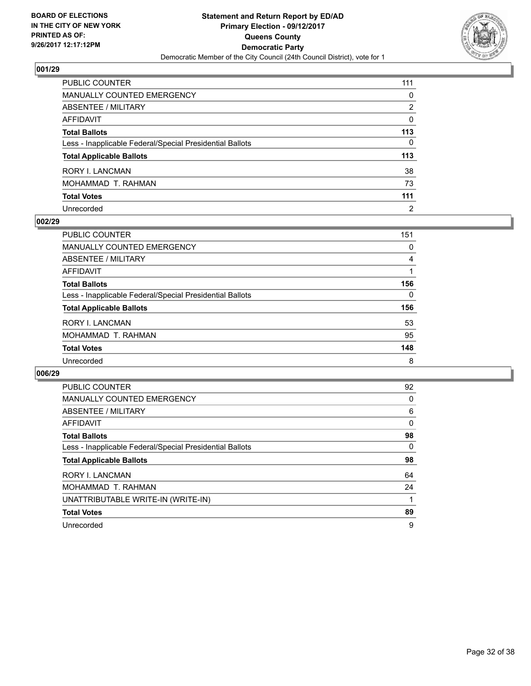

| PUBLIC COUNTER                                           | 111            |
|----------------------------------------------------------|----------------|
| <b>MANUALLY COUNTED EMERGENCY</b>                        | $\mathbf{0}$   |
| <b>ABSENTEE / MILITARY</b>                               | 2              |
| <b>AFFIDAVIT</b>                                         | $\mathbf{0}$   |
| <b>Total Ballots</b>                                     | 113            |
| Less - Inapplicable Federal/Special Presidential Ballots | 0              |
| <b>Total Applicable Ballots</b>                          | 113            |
| RORY I. LANCMAN                                          | 38             |
| MOHAMMAD T. RAHMAN                                       | 73             |
| <b>Total Votes</b>                                       | 111            |
| Unrecorded                                               | $\overline{2}$ |

## **002/29**

| <b>PUBLIC COUNTER</b>                                    | 151 |
|----------------------------------------------------------|-----|
| <b>MANUALLY COUNTED EMERGENCY</b>                        | 0   |
| ABSENTEE / MILITARY                                      | 4   |
| AFFIDAVIT                                                |     |
| <b>Total Ballots</b>                                     | 156 |
| Less - Inapplicable Federal/Special Presidential Ballots | 0   |
| <b>Total Applicable Ballots</b>                          | 156 |
| <b>RORY I. LANCMAN</b>                                   | 53  |
| MOHAMMAD T. RAHMAN                                       | 95  |
| <b>Total Votes</b>                                       | 148 |
| Unrecorded                                               | 8   |

| <b>PUBLIC COUNTER</b>                                    | 92 |
|----------------------------------------------------------|----|
| <b>MANUALLY COUNTED EMERGENCY</b>                        | 0  |
| ABSENTEE / MILITARY                                      | 6  |
| AFFIDAVIT                                                | 0  |
| <b>Total Ballots</b>                                     | 98 |
| Less - Inapplicable Federal/Special Presidential Ballots | 0  |
| <b>Total Applicable Ballots</b>                          | 98 |
| <b>RORY I. LANCMAN</b>                                   | 64 |
| MOHAMMAD T. RAHMAN                                       | 24 |
| UNATTRIBUTABLE WRITE-IN (WRITE-IN)                       |    |
| <b>Total Votes</b>                                       | 89 |
| Unrecorded                                               | 9  |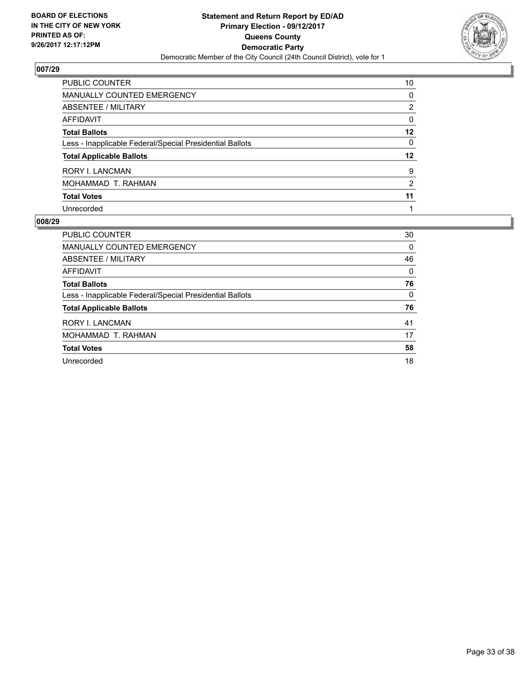

| PUBLIC COUNTER                                           | 10           |
|----------------------------------------------------------|--------------|
| <b>MANUALLY COUNTED EMERGENCY</b>                        | 0            |
| ABSENTEE / MILITARY                                      | 2            |
| <b>AFFIDAVIT</b>                                         | $\mathbf{0}$ |
| <b>Total Ballots</b>                                     | $12 \,$      |
| Less - Inapplicable Federal/Special Presidential Ballots | $\mathbf{0}$ |
| <b>Total Applicable Ballots</b>                          | 12           |
| <b>RORY I. LANCMAN</b>                                   | 9            |
| MOHAMMAD T. RAHMAN                                       | 2            |
| <b>Total Votes</b>                                       | 11           |
| Unrecorded                                               |              |

| <b>PUBLIC COUNTER</b>                                    | 30 |
|----------------------------------------------------------|----|
| MANUALLY COUNTED EMERGENCY                               | 0  |
| ABSENTEE / MILITARY                                      | 46 |
| AFFIDAVIT                                                | 0  |
| <b>Total Ballots</b>                                     | 76 |
| Less - Inapplicable Federal/Special Presidential Ballots | 0  |
| <b>Total Applicable Ballots</b>                          | 76 |
| <b>RORY I. LANCMAN</b>                                   | 41 |
| MOHAMMAD T. RAHMAN                                       | 17 |
| <b>Total Votes</b>                                       | 58 |
| Unrecorded                                               | 18 |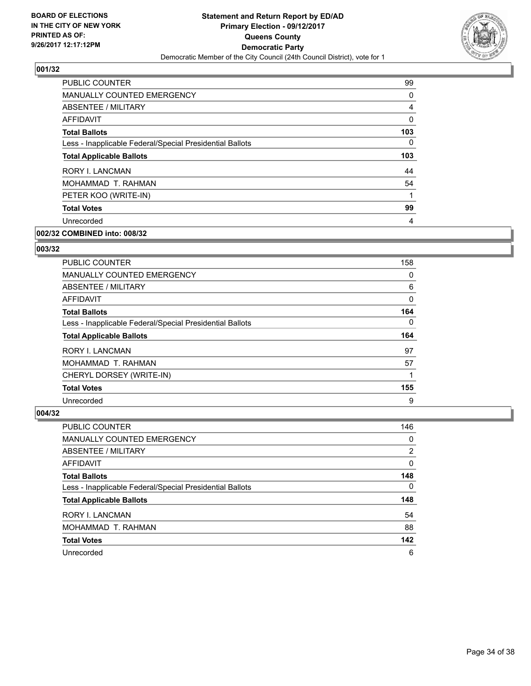

| <b>PUBLIC COUNTER</b>                                    | 99  |
|----------------------------------------------------------|-----|
| <b>MANUALLY COUNTED EMERGENCY</b>                        | 0   |
| ABSENTEE / MILITARY                                      | 4   |
| <b>AFFIDAVIT</b>                                         | 0   |
| <b>Total Ballots</b>                                     | 103 |
| Less - Inapplicable Federal/Special Presidential Ballots | 0   |
| <b>Total Applicable Ballots</b>                          | 103 |
| <b>RORY I. LANCMAN</b>                                   | 44  |
| MOHAMMAD T. RAHMAN                                       | 54  |
| PETER KOO (WRITE-IN)                                     | 1   |
| <b>Total Votes</b>                                       | 99  |
| Unrecorded                                               | 4   |
|                                                          |     |

# **002/32 COMBINED into: 008/32**

#### **003/32**

| <b>PUBLIC COUNTER</b>                                    | 158      |
|----------------------------------------------------------|----------|
| <b>MANUALLY COUNTED EMERGENCY</b>                        | 0        |
| ABSENTEE / MILITARY                                      | 6        |
| <b>AFFIDAVIT</b>                                         | $\Omega$ |
| <b>Total Ballots</b>                                     | 164      |
| Less - Inapplicable Federal/Special Presidential Ballots | 0        |
| <b>Total Applicable Ballots</b>                          | 164      |
| RORY I. LANCMAN                                          | 97       |
|                                                          |          |
| MOHAMMAD T. RAHMAN                                       | 57       |
| CHERYL DORSEY (WRITE-IN)                                 |          |
| <b>Total Votes</b>                                       | 155      |

| <b>PUBLIC COUNTER</b>                                    | 146 |
|----------------------------------------------------------|-----|
| <b>MANUALLY COUNTED EMERGENCY</b>                        | 0   |
| ABSENTEE / MILITARY                                      | 2   |
| AFFIDAVIT                                                | 0   |
| <b>Total Ballots</b>                                     | 148 |
| Less - Inapplicable Federal/Special Presidential Ballots | 0   |
| <b>Total Applicable Ballots</b>                          | 148 |
| <b>RORY I. LANCMAN</b>                                   | 54  |
| MOHAMMAD T. RAHMAN                                       | 88  |
| <b>Total Votes</b>                                       | 142 |
| Unrecorded                                               | 6   |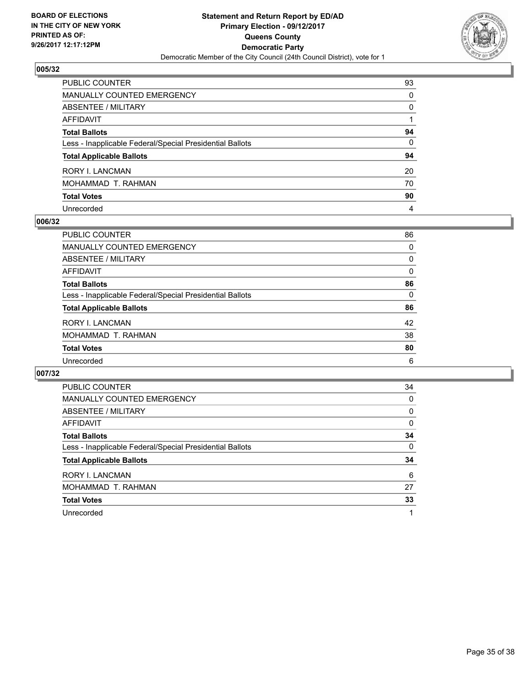

| PUBLIC COUNTER                                           | 93           |
|----------------------------------------------------------|--------------|
| MANUALLY COUNTED EMERGENCY                               | 0            |
| ABSENTEE / MILITARY                                      | $\mathbf{0}$ |
| AFFIDAVIT                                                |              |
| <b>Total Ballots</b>                                     | 94           |
| Less - Inapplicable Federal/Special Presidential Ballots | $\mathbf{0}$ |
| <b>Total Applicable Ballots</b>                          | 94           |
| RORY I. LANCMAN                                          | 20           |
| MOHAMMAD T. RAHMAN                                       | 70           |
| <b>Total Votes</b>                                       | 90           |
| Unrecorded                                               | 4            |

## **006/32**

| <b>PUBLIC COUNTER</b>                                    | 86 |
|----------------------------------------------------------|----|
| <b>MANUALLY COUNTED EMERGENCY</b>                        | 0  |
| ABSENTEE / MILITARY                                      | 0  |
| AFFIDAVIT                                                | 0  |
| <b>Total Ballots</b>                                     | 86 |
| Less - Inapplicable Federal/Special Presidential Ballots | 0  |
| <b>Total Applicable Ballots</b>                          | 86 |
| <b>RORY I. LANCMAN</b>                                   | 42 |
| MOHAMMAD T. RAHMAN                                       | 38 |
| <b>Total Votes</b>                                       | 80 |
| Unrecorded                                               | 6  |

| <b>PUBLIC COUNTER</b>                                    | 34 |
|----------------------------------------------------------|----|
| <b>MANUALLY COUNTED EMERGENCY</b>                        | 0  |
| ABSENTEE / MILITARY                                      | 0  |
| <b>AFFIDAVIT</b>                                         | 0  |
| <b>Total Ballots</b>                                     | 34 |
| Less - Inapplicable Federal/Special Presidential Ballots | 0  |
| <b>Total Applicable Ballots</b>                          | 34 |
| RORY I. LANCMAN                                          | 6  |
| MOHAMMAD T. RAHMAN                                       | 27 |
| <b>Total Votes</b>                                       | 33 |
| Unrecorded                                               |    |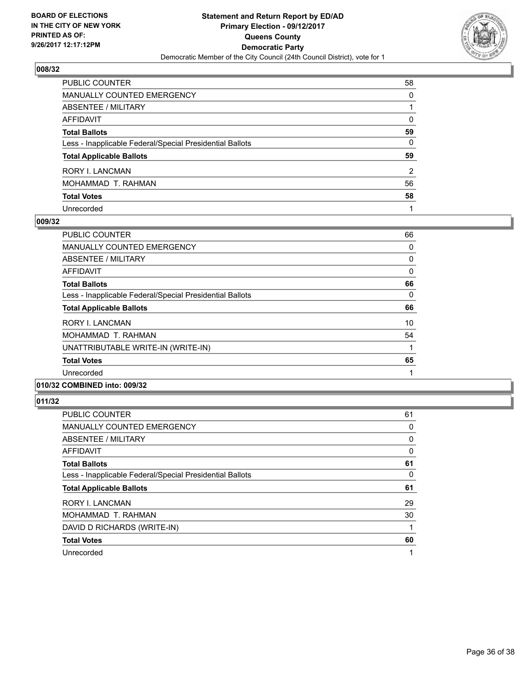

| PUBLIC COUNTER                                           | 58 |
|----------------------------------------------------------|----|
| <b>MANUALLY COUNTED EMERGENCY</b>                        | 0  |
| <b>ABSENTEE / MILITARY</b>                               |    |
| AFFIDAVIT                                                | 0  |
| <b>Total Ballots</b>                                     | 59 |
| Less - Inapplicable Federal/Special Presidential Ballots | 0  |
| <b>Total Applicable Ballots</b>                          | 59 |
| RORY I. LANCMAN                                          | 2  |
| MOHAMMAD T. RAHMAN                                       | 56 |
| <b>Total Votes</b>                                       | 58 |
| Unrecorded                                               |    |

## **009/32**

| <b>PUBLIC COUNTER</b>                                    | 66 |
|----------------------------------------------------------|----|
| MANUALLY COUNTED EMERGENCY                               | 0  |
| ABSENTEE / MILITARY                                      | 0  |
| <b>AFFIDAVIT</b>                                         | 0  |
| <b>Total Ballots</b>                                     | 66 |
| Less - Inapplicable Federal/Special Presidential Ballots | 0  |
| <b>Total Applicable Ballots</b>                          | 66 |
| <b>RORY I. LANCMAN</b>                                   | 10 |
| MOHAMMAD T. RAHMAN                                       | 54 |
| UNATTRIBUTABLE WRITE-IN (WRITE-IN)                       |    |
| <b>Total Votes</b>                                       | 65 |
| Unrecorded                                               |    |
|                                                          |    |

# **010/32 COMBINED into: 009/32**

| <b>PUBLIC COUNTER</b>                                    | 61 |
|----------------------------------------------------------|----|
| <b>MANUALLY COUNTED EMERGENCY</b>                        | 0  |
| ABSENTEE / MILITARY                                      | 0  |
| <b>AFFIDAVIT</b>                                         | 0  |
| <b>Total Ballots</b>                                     | 61 |
| Less - Inapplicable Federal/Special Presidential Ballots | 0  |
| <b>Total Applicable Ballots</b>                          | 61 |
| <b>RORY I. LANCMAN</b>                                   | 29 |
|                                                          |    |
| MOHAMMAD T. RAHMAN                                       | 30 |
| DAVID D RICHARDS (WRITE-IN)                              |    |
| <b>Total Votes</b>                                       | 60 |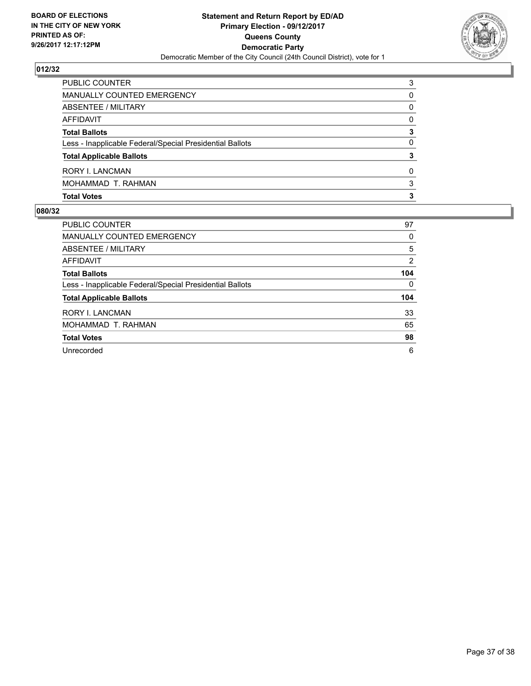

| <b>PUBLIC COUNTER</b>                                    | 3 |
|----------------------------------------------------------|---|
| MANUALLY COUNTED EMERGENCY                               | 0 |
| ABSENTEE / MILITARY                                      | 0 |
| AFFIDAVIT                                                | 0 |
| <b>Total Ballots</b>                                     | 3 |
| Less - Inapplicable Federal/Special Presidential Ballots | 0 |
| <b>Total Applicable Ballots</b>                          | 3 |
| RORY I. LANCMAN                                          | 0 |
| MOHAMMAD T. RAHMAN                                       | 3 |
| <b>Total Votes</b>                                       | 3 |

| <b>PUBLIC COUNTER</b>                                    | 97  |
|----------------------------------------------------------|-----|
| <b>MANUALLY COUNTED EMERGENCY</b>                        | 0   |
| ABSENTEE / MILITARY                                      | 5   |
| AFFIDAVIT                                                | 2   |
| <b>Total Ballots</b>                                     | 104 |
| Less - Inapplicable Federal/Special Presidential Ballots | 0   |
| <b>Total Applicable Ballots</b>                          | 104 |
| <b>RORY I. LANCMAN</b>                                   | 33  |
| MOHAMMAD T. RAHMAN                                       | 65  |
| <b>Total Votes</b>                                       | 98  |
| Unrecorded                                               | 6   |